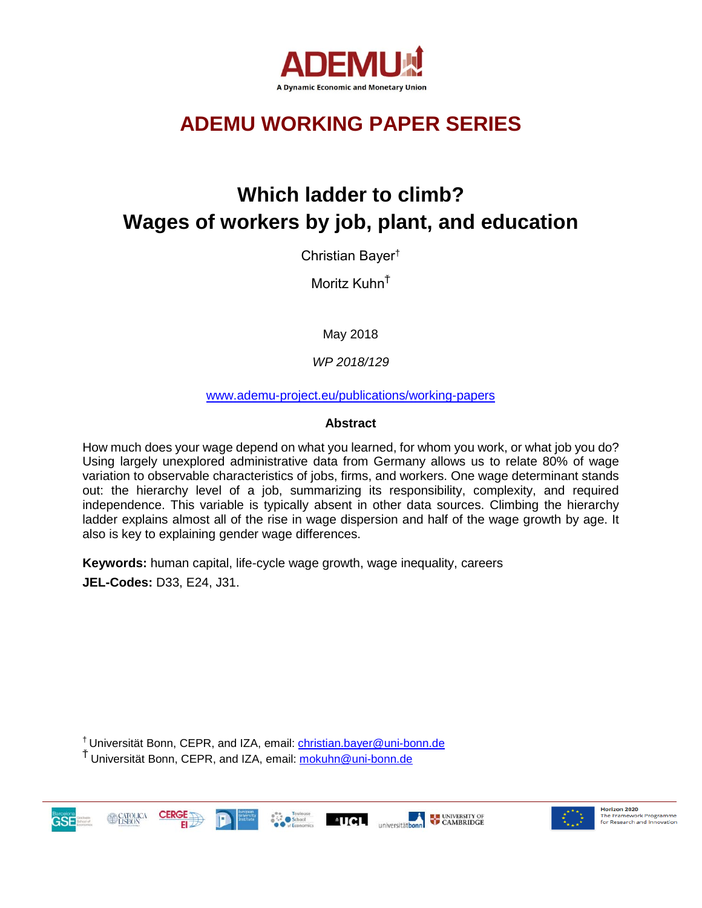

# **ADEMU WORKING PAPER SERIES**

# **Which ladder to climb? Wages of workers by job, plant, and education**

Christian Bayer†

Moritz Kuhn<sup>Ť</sup>

May 2018

*WP 2018/129*

[www.ademu-project.eu/publications/working-papers](http://www.ademu-project.eu/publications/working-papers)

## **Abstract**

How much does your wage depend on what you learned, for whom you work, or what job you do? Using largely unexplored administrative data from Germany allows us to relate 80% of wage variation to observable characteristics of jobs, firms, and workers. One wage determinant stands out: the hierarchy level of a job, summarizing its responsibility, complexity, and required independence. This variable is typically absent in other data sources. Climbing the hierarchy ladder explains almost all of the rise in wage dispersion and half of the wage growth by age. It also is key to explaining gender wage differences.

**Keywords:** human capital, life-cycle wage growth, wage inequality, careers

**JEL-Codes:** D33, E24, J31.

† Universität Bonn, CEPR, and IZA, email: [christian.bayer@uni-bonn.de](mailto:christian.bayer@uni-bonn.de)

<sup>Ť</sup> Universität Bonn, CEPR, and IZA, email: [mokuhn@uni-bonn.de](mailto:mokuhn@uni-bonn.de)





Horizon 2020 **Horizon 2020**<br>The Framework Programme<br>for Research and Innovation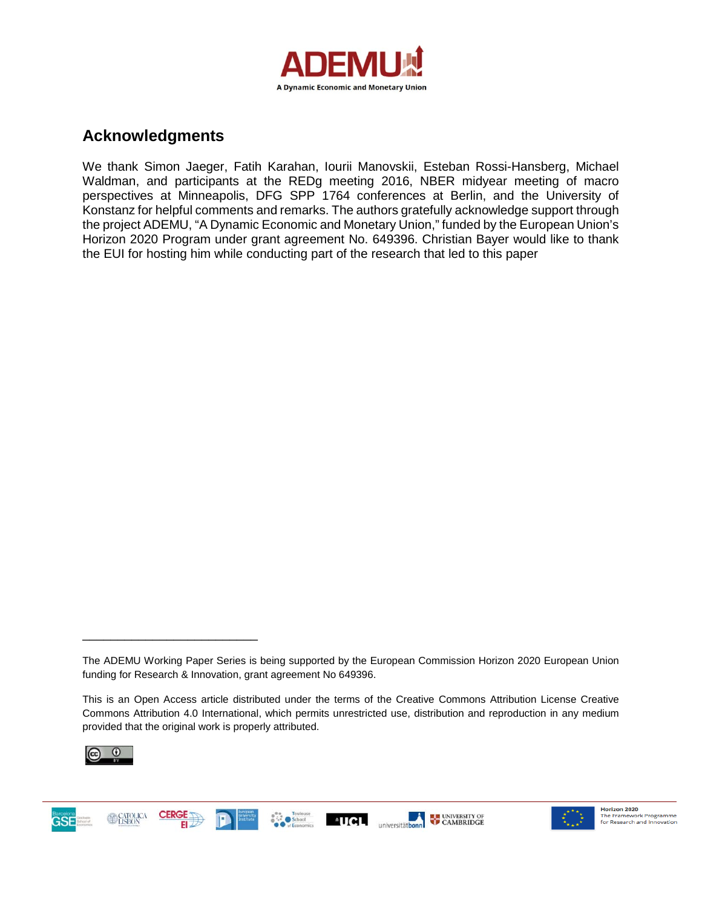

## **Acknowledgments**

We thank Simon Jaeger, Fatih Karahan, Iourii Manovskii, Esteban Rossi-Hansberg, Michael Waldman, and participants at the REDg meeting 2016, NBER midyear meeting of macro perspectives at Minneapolis, DFG SPP 1764 conferences at Berlin, and the University of Konstanz for helpful comments and remarks. The authors gratefully acknowledge support through the project ADEMU, "A Dynamic Economic and Monetary Union," funded by the European Union's Horizon 2020 Program under grant agreement No. 649396. Christian Bayer would like to thank the EUI for hosting him while conducting part of the research that led to this paper

This is an Open Access article distributed under the terms of the Creative Commons Attribution License Creative Commons Attribution 4.0 International, which permits unrestricted use, distribution and reproduction in any medium provided that the original work is properly attributed.



\_\_\_\_\_\_\_\_\_\_\_\_\_\_\_\_\_\_\_\_\_\_\_\_\_





The ADEMU Working Paper Series is being supported by the European Commission Horizon 2020 European Union funding for Research & Innovation, grant agreement No 649396.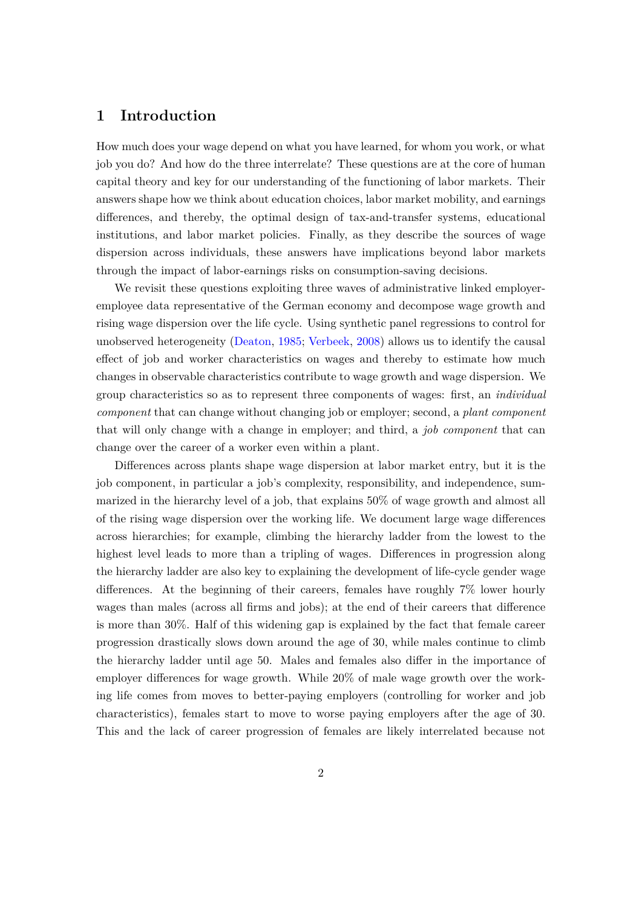## **1 Introduction**

How much does your wage depend on what you have learned, for whom you work, or what job you do? And how do the three interrelate? These questions are at the core of human capital theory and key for our understanding of the functioning of labor markets. Their answers shape how we think about education choices, labor market mobility, and earnings differences, and thereby, the optimal design of tax-and-transfer systems, educational institutions, and labor market policies. Finally, as they describe the sources of wage dispersion across individuals, these answers have implications beyond labor markets through the impact of labor-earnings risks on consumption-saving decisions.

We revisit these questions exploiting three waves of administrative linked employeremployee data representative of the German economy and decompose wage growth and rising wage dispersion over the life cycle. Using synthetic panel regressions to control for unobserved heterogeneity [\(Deaton,](#page-30-0) [1985;](#page-30-0) [Verbeek](#page-32-0), [2008\)](#page-32-0) allows us to identify the causal effect of job and worker characteristics on wages and thereby to estimate how much changes in observable characteristics contribute to wage growth and wage dispersion. We group characteristics so as to represent three components of wages: first, an *individual component* that can change without changing job or employer; second, a *plant component* that will only change with a change in employer; and third, a *job component* that can change over the career of a worker even within a plant.

Differences across plants shape wage dispersion at labor market entry, but it is the job component, in particular a job's complexity, responsibility, and independence, summarized in the hierarchy level of a job, that explains 50% of wage growth and almost all of the rising wage dispersion over the working life. We document large wage differences across hierarchies; for example, climbing the hierarchy ladder from the lowest to the highest level leads to more than a tripling of wages. Differences in progression along the hierarchy ladder are also key to explaining the development of life-cycle gender wage differences. At the beginning of their careers, females have roughly 7% lower hourly wages than males (across all firms and jobs); at the end of their careers that difference is more than 30%. Half of this widening gap is explained by the fact that female career progression drastically slows down around the age of 30, while males continue to climb the hierarchy ladder until age 50. Males and females also differ in the importance of employer differences for wage growth. While 20% of male wage growth over the working life comes from moves to better-paying employers (controlling for worker and job characteristics), females start to move to worse paying employers after the age of 30. This and the lack of career progression of females are likely interrelated because not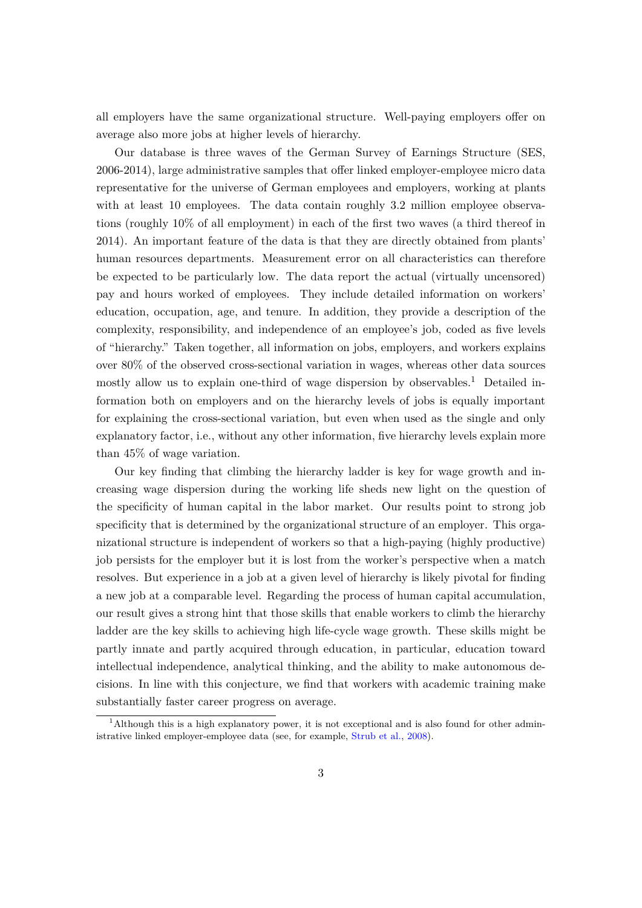all employers have the same organizational structure. Well-paying employers offer on average also more jobs at higher levels of hierarchy.

Our database is three waves of the German Survey of Earnings Structure (SES, 2006-2014), large administrative samples that offer linked employer-employee micro data representative for the universe of German employees and employers, working at plants with at least 10 employees. The data contain roughly 3.2 million employee observations (roughly 10% of all employment) in each of the first two waves (a third thereof in 2014). An important feature of the data is that they are directly obtained from plants' human resources departments. Measurement error on all characteristics can therefore be expected to be particularly low. The data report the actual (virtually uncensored) pay and hours worked of employees. They include detailed information on workers' education, occupation, age, and tenure. In addition, they provide a description of the complexity, responsibility, and independence of an employee's job, coded as five levels of "hierarchy." Taken together, all information on jobs, employers, and workers explains over 80% of the observed cross-sectional variation in wages, whereas other data sources mostly allow us to explain one-third of wage dispersion by observables.<sup>[1](#page-3-0)</sup> Detailed information both on employers and on the hierarchy levels of jobs is equally important for explaining the cross-sectional variation, but even when used as the single and only explanatory factor, i.e., without any other information, five hierarchy levels explain more than 45% of wage variation.

Our key finding that climbing the hierarchy ladder is key for wage growth and increasing wage dispersion during the working life sheds new light on the question of the specificity of human capital in the labor market. Our results point to strong job specificity that is determined by the organizational structure of an employer. This organizational structure is independent of workers so that a high-paying (highly productive) job persists for the employer but it is lost from the worker's perspective when a match resolves. But experience in a job at a given level of hierarchy is likely pivotal for finding a new job at a comparable level. Regarding the process of human capital accumulation, our result gives a strong hint that those skills that enable workers to climb the hierarchy ladder are the key skills to achieving high life-cycle wage growth. These skills might be partly innate and partly acquired through education, in particular, education toward intellectual independence, analytical thinking, and the ability to make autonomous decisions. In line with this conjecture, we find that workers with academic training make substantially faster career progress on average.

<span id="page-3-0"></span><sup>&</sup>lt;sup>1</sup>Although this is a high explanatory power, it is not exceptional and is also found for other administrative linked employer-employee data (see, for example, [Strub et al.](#page-32-1), [2008](#page-32-1)).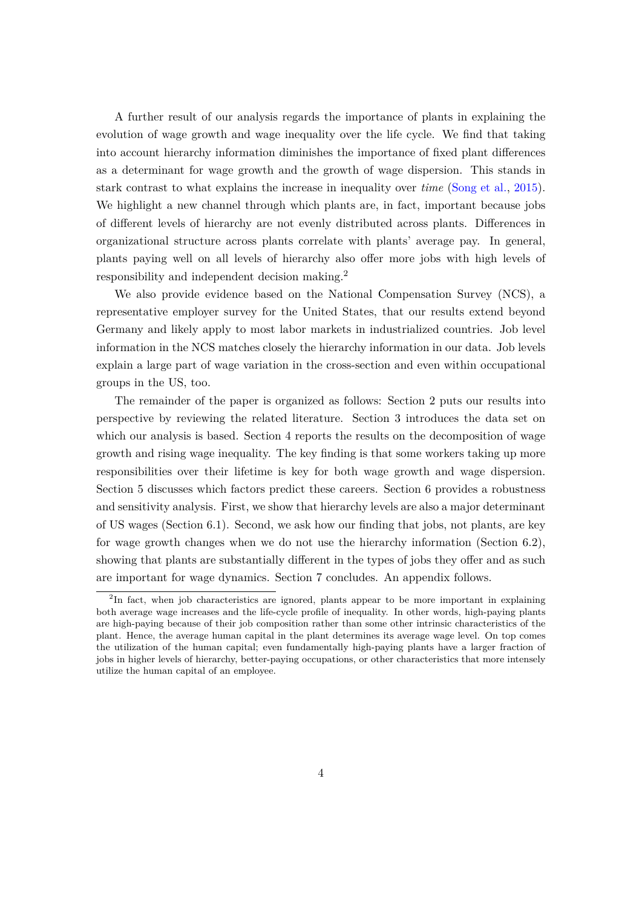A further result of our analysis regards the importance of plants in explaining the evolution of wage growth and wage inequality over the life cycle. We find that taking into account hierarchy information diminishes the importance of fixed plant differences as a determinant for wage growth and the growth of wage dispersion. This stands in stark contrast to what explains the increase in inequality over *time* [\(Song et al.](#page-32-2), [2015\)](#page-32-2). We highlight a new channel through which plants are, in fact, important because jobs of different levels of hierarchy are not evenly distributed across plants. Differences in organizational structure across plants correlate with plants' average pay. In general, plants paying well on all levels of hierarchy also offer more jobs with high levels of responsibility and independent decision making.[2](#page-4-0)

We also provide evidence based on the National Compensation Survey (NCS), a representative employer survey for the United States, that our results extend beyond Germany and likely apply to most labor markets in industrialized countries. Job level information in the NCS matches closely the hierarchy information in our data. Job levels explain a large part of wage variation in the cross-section and even within occupational groups in the US, too.

The remainder of the paper is organized as follows: Section [2](#page-5-0) puts our results into perspective by reviewing the related literature. Section [3](#page-7-0) introduces the data set on which our analysis is based. Section [4](#page-11-0) reports the results on the decomposition of wage growth and rising wage inequality. The key finding is that some workers taking up more responsibilities over their lifetime is key for both wage growth and wage dispersion. Section [5](#page-19-0) discusses which factors predict these careers. Section [6](#page-23-0) provides a robustness and sensitivity analysis. First, we show that hierarchy levels are also a major determinant of US wages (Section [6.1\)](#page-24-0). Second, we ask how our finding that jobs, not plants, are key for wage growth changes when we do not use the hierarchy information (Section [6.2\)](#page-26-0), showing that plants are substantially different in the types of jobs they offer and as such are important for wage dynamics. Section [7](#page-29-0) concludes. An appendix follows.

<span id="page-4-0"></span><sup>&</sup>lt;sup>2</sup>In fact, when job characteristics are ignored, plants appear to be more important in explaining both average wage increases and the life-cycle profile of inequality. In other words, high-paying plants are high-paying because of their job composition rather than some other intrinsic characteristics of the plant. Hence, the average human capital in the plant determines its average wage level. On top comes the utilization of the human capital; even fundamentally high-paying plants have a larger fraction of jobs in higher levels of hierarchy, better-paying occupations, or other characteristics that more intensely utilize the human capital of an employee.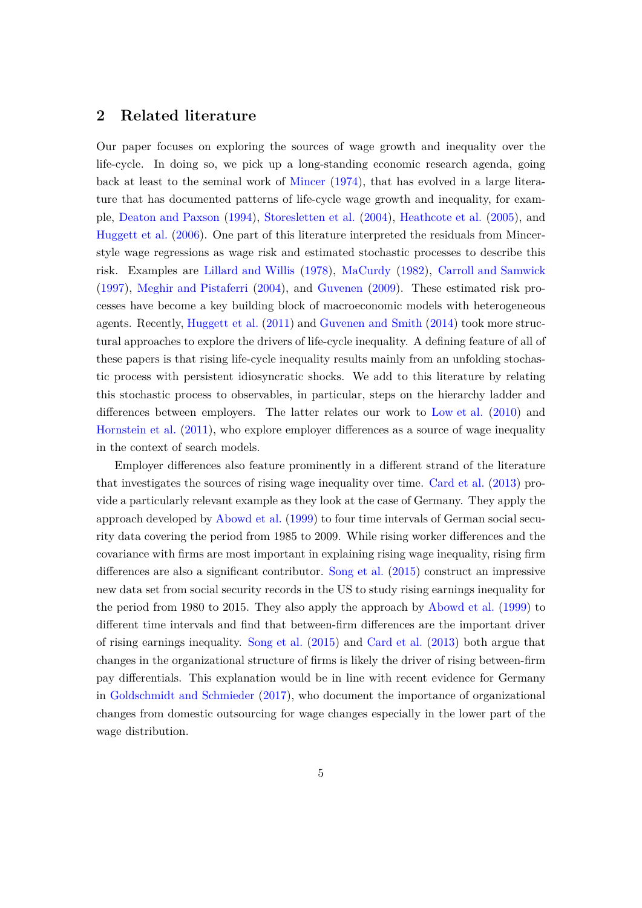## <span id="page-5-0"></span>**2 Related literature**

Our paper focuses on exploring the sources of wage growth and inequality over the life-cycle. In doing so, we pick up a long-standing economic research agenda, going back at least to the seminal work of [Mincer](#page-32-3) [\(1974](#page-32-3)), that has evolved in a large literature that has documented patterns of life-cycle wage growth and inequality, for example, [Deaton and Paxson](#page-30-1) ([1994\)](#page-30-1), [Storesletten et al.](#page-32-4) ([2004\)](#page-32-4), [Heathcote et al.](#page-31-0) [\(2005](#page-31-0)), and [Huggett et al.](#page-31-1) [\(2006](#page-31-1)). One part of this literature interpreted the residuals from Mincerstyle wage regressions as wage risk and estimated stochastic processes to describe this risk. Examples are [Lillard and Willis](#page-32-5) ([1978](#page-32-5)), [MaCurdy](#page-32-6) ([1982\)](#page-32-6), [Carroll and Samwick](#page-30-2) ([1997](#page-30-2)), [Meghir and Pistaferri](#page-32-7) ([2004\)](#page-32-7), and [Guvenen](#page-31-2) [\(2009](#page-31-2)). These estimated risk processes have become a key building block of macroeconomic models with heterogeneous agents. Recently, [Huggett et al.](#page-31-3) [\(2011\)](#page-31-3) and [Guvenen and Smith](#page-31-4) ([2014\)](#page-31-4) took more structural approaches to explore the drivers of life-cycle inequality. A defining feature of all of these papers is that rising life-cycle inequality results mainly from an unfolding stochastic process with persistent idiosyncratic shocks. We add to this literature by relating this stochastic process to observables, in particular, steps on the hierarchy ladder and differences between employers. The latter relates our work to [Low et al.](#page-32-8) [\(2010](#page-32-8)) and [Hornstein et al.](#page-31-5) [\(2011](#page-31-5)), who explore employer differences as a source of wage inequality in the context of search models.

Employer differences also feature prominently in a different strand of the literature that investigates the sources of rising wage inequality over time. [Card et al.](#page-30-3) [\(2013\)](#page-30-3) provide a particularly relevant example as they look at the case of Germany. They apply the approach developed by [Abowd et al.](#page-30-4) ([1999\)](#page-30-4) to four time intervals of German social security data covering the period from 1985 to 2009. While rising worker differences and the covariance with firms are most important in explaining rising wage inequality, rising firm differences are also a significant contributor. [Song et al.](#page-32-2) ([2015\)](#page-32-2) construct an impressive new data set from social security records in the US to study rising earnings inequality for the period from 1980 to 2015. They also apply the approach by [Abowd et al.](#page-30-4) ([1999](#page-30-4)) to different time intervals and find that between-firm differences are the important driver of rising earnings inequality. [Song et al.](#page-32-2) [\(2015\)](#page-32-2) and [Card et al.](#page-30-3) [\(2013\)](#page-30-3) both argue that changes in the organizational structure of firms is likely the driver of rising between-firm pay differentials. This explanation would be in line with recent evidence for Germany in [Goldschmidt and Schmieder](#page-31-6) [\(2017\)](#page-31-6), who document the importance of organizational changes from domestic outsourcing for wage changes especially in the lower part of the wage distribution.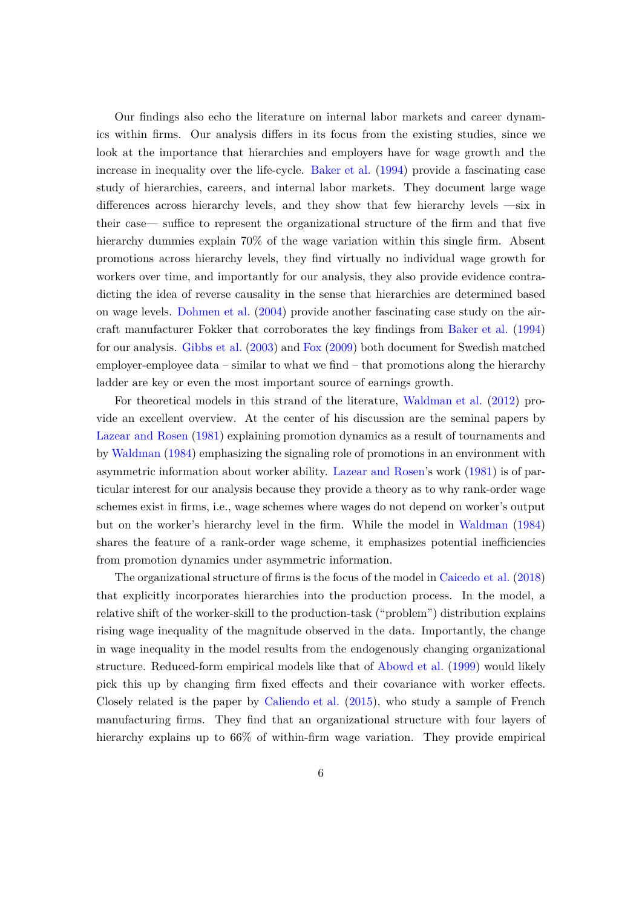Our findings also echo the literature on internal labor markets and career dynamics within firms. Our analysis differs in its focus from the existing studies, since we look at the importance that hierarchies and employers have for wage growth and the increase in inequality over the life-cycle. [Baker et al.](#page-30-5) [\(1994](#page-30-5)) provide a fascinating case study of hierarchies, careers, and internal labor markets. They document large wage differences across hierarchy levels, and they show that few hierarchy levels —six in their case— suffice to represent the organizational structure of the firm and that five hierarchy dummies explain  $70\%$  of the wage variation within this single firm. Absent promotions across hierarchy levels, they find virtually no individual wage growth for workers over time, and importantly for our analysis, they also provide evidence contradicting the idea of reverse causality in the sense that hierarchies are determined based on wage levels. [Dohmen et al.](#page-30-6) ([2004\)](#page-30-6) provide another fascinating case study on the aircraft manufacturer Fokker that corroborates the key findings from [Baker et al.](#page-30-5) ([1994\)](#page-30-5) for our analysis. [Gibbs et al.](#page-31-7) ([2003\)](#page-31-7) and [Fox](#page-30-7) ([2009](#page-30-7)) both document for Swedish matched employer-employee data – similar to what we find – that promotions along the hierarchy ladder are key or even the most important source of earnings growth.

For theoretical models in this strand of the literature, [Waldman et al.](#page-32-9) [\(2012\)](#page-32-9) provide an excellent overview. At the center of his discussion are the seminal papers by [Lazear and Rosen](#page-31-8) ([1981\)](#page-31-8) explaining promotion dynamics as a result of tournaments and by [Waldman](#page-32-10) [\(1984\)](#page-32-10) emphasizing the signaling role of promotions in an environment with asymmetric information about worker ability. [Lazear and Rosen](#page-31-8)'s work ([1981\)](#page-31-8) is of particular interest for our analysis because they provide a theory as to why rank-order wage schemes exist in firms, i.e., wage schemes where wages do not depend on worker's output but on the worker's hierarchy level in the firm. While the model in [Waldman](#page-32-10) ([1984\)](#page-32-10) shares the feature of a rank-order wage scheme, it emphasizes potential inefficiencies from promotion dynamics under asymmetric information.

The organizational structure of firms is the focus of the model in [Caicedo et al.](#page-30-8) ([2018\)](#page-30-8) that explicitly incorporates hierarchies into the production process. In the model, a relative shift of the worker-skill to the production-task ("problem") distribution explains rising wage inequality of the magnitude observed in the data. Importantly, the change in wage inequality in the model results from the endogenously changing organizational structure. Reduced-form empirical models like that of [Abowd et al.](#page-30-4) [\(1999](#page-30-4)) would likely pick this up by changing firm fixed effects and their covariance with worker effects. Closely related is the paper by [Caliendo et al.](#page-30-9) ([2015\)](#page-30-9), who study a sample of French manufacturing firms. They find that an organizational structure with four layers of hierarchy explains up to  $66\%$  of within-firm wage variation. They provide empirical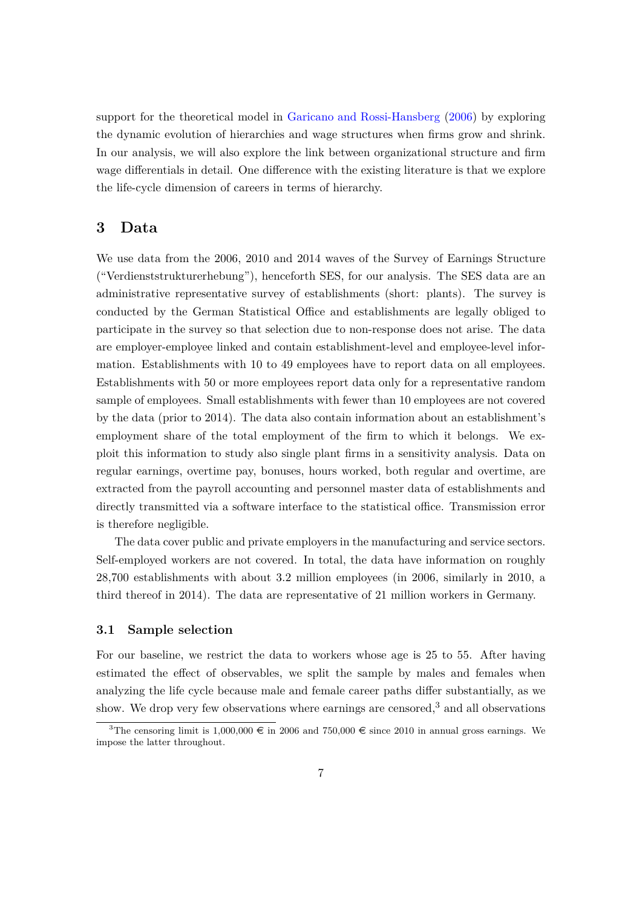support for the theoretical model in [Garicano and Rossi-Hansberg](#page-30-10) [\(2006](#page-30-10)) by exploring the dynamic evolution of hierarchies and wage structures when firms grow and shrink. In our analysis, we will also explore the link between organizational structure and firm wage differentials in detail. One difference with the existing literature is that we explore the life-cycle dimension of careers in terms of hierarchy.

## <span id="page-7-0"></span>**3 Data**

We use data from the 2006, 2010 and 2014 waves of the Survey of Earnings Structure ("Verdienststrukturerhebung"), henceforth SES, for our analysis. The SES data are an administrative representative survey of establishments (short: plants). The survey is conducted by the German Statistical Office and establishments are legally obliged to participate in the survey so that selection due to non-response does not arise. The data are employer-employee linked and contain establishment-level and employee-level information. Establishments with 10 to 49 employees have to report data on all employees. Establishments with 50 or more employees report data only for a representative random sample of employees. Small establishments with fewer than 10 employees are not covered by the data (prior to 2014). The data also contain information about an establishment's employment share of the total employment of the firm to which it belongs. We exploit this information to study also single plant firms in a sensitivity analysis. Data on regular earnings, overtime pay, bonuses, hours worked, both regular and overtime, are extracted from the payroll accounting and personnel master data of establishments and directly transmitted via a software interface to the statistical office. Transmission error is therefore negligible.

The data cover public and private employers in the manufacturing and service sectors. Self-employed workers are not covered. In total, the data have information on roughly 28,700 establishments with about 3.2 million employees (in 2006, similarly in 2010, a third thereof in 2014). The data are representative of 21 million workers in Germany.

#### **3.1 Sample selection**

For our baseline, we restrict the data to workers whose age is 25 to 55. After having estimated the effect of observables, we split the sample by males and females when analyzing the life cycle because male and female career paths differ substantially, as we show. We drop very few observations where earnings are censored,<sup>[3](#page-7-1)</sup> and all observations

<span id="page-7-1"></span><sup>&</sup>lt;sup>3</sup>The censoring limit is 1,000,000  $\in$  in 2006 and 750,000  $\in$  since 2010 in annual gross earnings. We impose the latter throughout.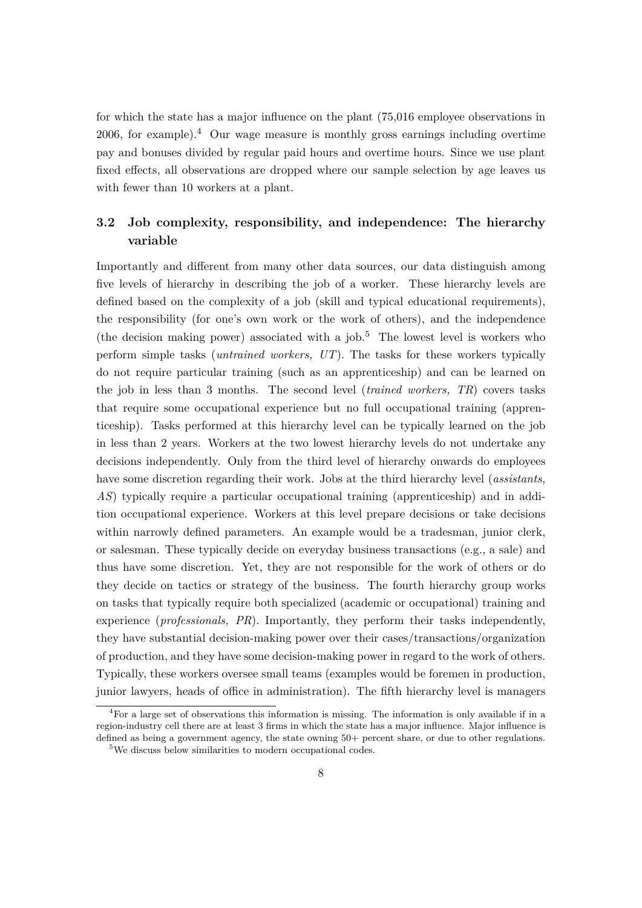for which the state has a major influence on the plant (75,016 employee observations in 2006, for example).<sup>[4](#page-8-0)</sup> Our wage measure is monthly gross earnings including overtime pay and bonuses divided by regular paid hours and overtime hours. Since we use plant fixed effects, all observations are dropped where our sample selection by age leaves us with fewer than 10 workers at a plant.

## **3.2 Job complexity, responsibility, and independence: The hierarchy variable**

Importantly and different from many other data sources, our data distinguish among five levels of hierarchy in describing the job of a worker. These hierarchy levels are defined based on the complexity of a job (skill and typical educational requirements), the responsibility (for one's own work or the work of others), and the independence (the decision making power) associated with a job.<sup>[5](#page-8-1)</sup> The lowest level is workers who perform simple tasks (*untrained workers, UT*). The tasks for these workers typically do not require particular training (such as an apprenticeship) and can be learned on the job in less than 3 months. The second level (*trained workers, TR*) covers tasks that require some occupational experience but no full occupational training (apprenticeship). Tasks performed at this hierarchy level can be typically learned on the job in less than 2 years. Workers at the two lowest hierarchy levels do not undertake any decisions independently. Only from the third level of hierarchy onwards do employees have some discretion regarding their work. Jobs at the third hierarchy level (*assistants, AS*) typically require a particular occupational training (apprenticeship) and in addition occupational experience. Workers at this level prepare decisions or take decisions within narrowly defined parameters. An example would be a tradesman, junior clerk, or salesman. These typically decide on everyday business transactions (e.g., a sale) and thus have some discretion. Yet, they are not responsible for the work of others or do they decide on tactics or strategy of the business. The fourth hierarchy group works on tasks that typically require both specialized (academic or occupational) training and experience (*professionals, PR*). Importantly, they perform their tasks independently, they have substantial decision-making power over their cases/transactions/organization of production, and they have some decision-making power in regard to the work of others. Typically, these workers oversee small teams (examples would be foremen in production, junior lawyers, heads of office in administration). The fifth hierarchy level is managers

<span id="page-8-0"></span><sup>4</sup>For a large set of observations this information is missing. The information is only available if in a region-industry cell there are at least 3 firms in which the state has a major influence. Major influence is defined as being a government agency, the state owning  $50+$  percent share, or due to other regulations.

<span id="page-8-1"></span><sup>5</sup>We discuss below similarities to modern occupational codes.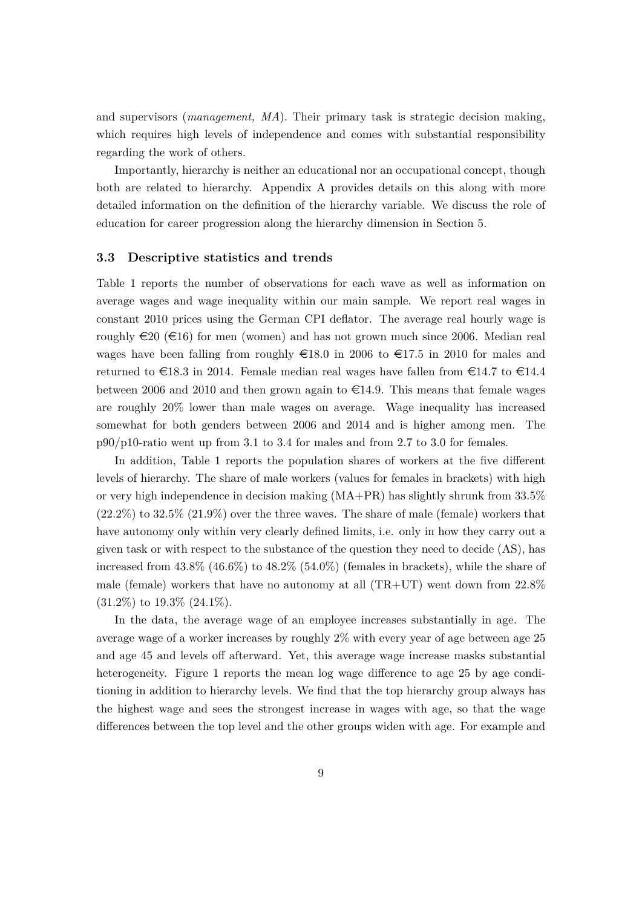and supervisors (*management, MA*). Their primary task is strategic decision making, which requires high levels of independence and comes with substantial responsibility regarding the work of others.

Importantly, hierarchy is neither an educational nor an occupational concept, though both are related to hierarchy. Appendix [A](#page-33-0) provides details on this along with more detailed information on the definition of the hierarchy variable. We discuss the role of education for career progression along the hierarchy dimension in Section [5](#page-19-0).

#### **3.3 Descriptive statistics and trends**

Table [1](#page-10-0) reports the number of observations for each wave as well as information on average wages and wage inequality within our main sample. We report real wages in constant 2010 prices using the German CPI deflator. The average real hourly wage is roughly  $\in 20 \ (\infty 16)$  for men (women) and has not grown much since 2006. Median real wages have been falling from roughly  $\epsilon$ 18.0 in 2006 to  $\epsilon$ 17.5 in 2010 for males and returned to  $\text{\textsterling}18.3$  in 2014. Female median real wages have fallen from  $\text{\textsterling}14.7$  to  $\text{\textsterling}14.4$ between 2006 and 2010 and then grown again to  $\epsilon$ 14.9. This means that female wages are roughly 20% lower than male wages on average. Wage inequality has increased somewhat for both genders between 2006 and 2014 and is higher among men. The  $p90/p10$ -ratio went up from 3.1 to 3.4 for males and from 2.7 to 3.0 for females.

In addition, Table [1](#page-10-0) reports the population shares of workers at the five different levels of hierarchy. The share of male workers (values for females in brackets) with high or very high independence in decision making (MA+PR) has slightly shrunk from 33.5%  $(22.2\%)$  to  $32.5\%$   $(21.9\%)$  over the three waves. The share of male (female) workers that have autonomy only within very clearly defined limits, i.e. only in how they carry out a given task or with respect to the substance of the question they need to decide (AS), has increased from  $43.8\%$  (46.6%) to  $48.2\%$  (54.0%) (females in brackets), while the share of male (female) workers that have no autonomy at all  $(TR+UT)$  went down from  $22.8\%$  $(31.2\%)$  to  $19.3\%$   $(24.1\%)$ .

In the data, the average wage of an employee increases substantially in age. The average wage of a worker increases by roughly 2% with every year of age between age 25 and age 45 and levels off afterward. Yet, this average wage increase masks substantial heterogeneity. Figure [1](#page-11-1) reports the mean log wage difference to age 25 by age conditioning in addition to hierarchy levels. We find that the top hierarchy group always has the highest wage and sees the strongest increase in wages with age, so that the wage differences between the top level and the other groups widen with age. For example and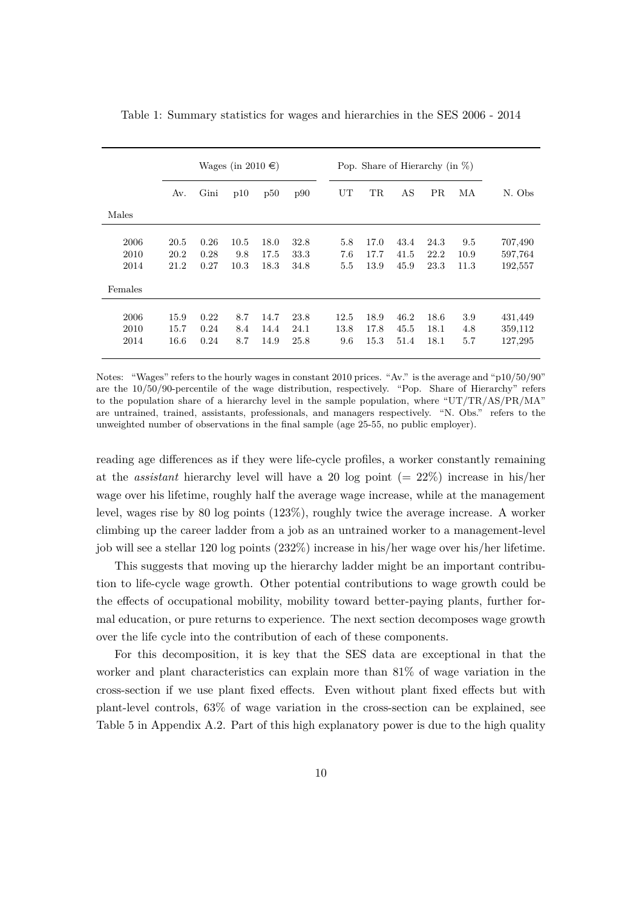|                      | Wages (in 2010 $\in$ ) |                      |                     | Pop. Share of Hierarchy (in $\%$ ) |                      |                     |                          |                      |                      |                     |                               |
|----------------------|------------------------|----------------------|---------------------|------------------------------------|----------------------|---------------------|--------------------------|----------------------|----------------------|---------------------|-------------------------------|
|                      | Av.                    | Gini                 | p10                 | p50                                | p90                  | UT                  | <b>TR</b>                | AS                   | <b>PR</b>            | MA                  | N. Obs                        |
| Males                |                        |                      |                     |                                    |                      |                     |                          |                      |                      |                     |                               |
| 2006<br>2010<br>2014 | 20.5<br>20.2<br>21.2   | 0.26<br>0.28<br>0.27 | 10.5<br>9.8<br>10.3 | 18.0<br>17.5<br>18.3               | 32.8<br>33.3<br>34.8 | 5.8<br>7.6<br>5.5   | 17.0<br>17.7<br>13.9     | 43.4<br>41.5<br>45.9 | 24.3<br>22.2<br>23.3 | 9.5<br>10.9<br>11.3 | 707,490<br>597,764<br>192,557 |
| Females              |                        |                      |                     |                                    |                      |                     |                          |                      |                      |                     |                               |
| 2006<br>2010<br>2014 | 15.9<br>15.7<br>16.6   | 0.22<br>0.24<br>0.24 | 8.7<br>8.4<br>8.7   | 14.7<br>14.4<br>14.9               | 23.8<br>24.1<br>25.8 | 12.5<br>13.8<br>9.6 | 18.9<br>17.8<br>$15.3\,$ | 46.2<br>45.5<br>51.4 | 18.6<br>18.1<br>18.1 | 3.9<br>4.8<br>5.7   | 431,449<br>359,112<br>127,295 |

<span id="page-10-0"></span>Table 1: Summary statistics for wages and hierarchies in the SES 2006 - 2014

Notes: "Wages" refers to the hourly wages in constant 2010 prices. "Av." is the average and "p10/50/90" are the 10/50/90-percentile of the wage distribution, respectively. "Pop. Share of Hierarchy" refers to the population share of a hierarchy level in the sample population, where "UT/TR/AS/PR/MA" are untrained, trained, assistants, professionals, and managers respectively. "N. Obs." refers to the unweighted number of observations in the final sample (age 25-55, no public employer).

reading age differences as if they were life-cycle profiles, a worker constantly remaining at the *assistant* hierarchy level will have a 20 log point  $(= 22\%)$  increase in his/her wage over his lifetime, roughly half the average wage increase, while at the management level, wages rise by 80 log points (123%), roughly twice the average increase. A worker climbing up the career ladder from a job as an untrained worker to a management-level job will see a stellar 120 log points (232%) increase in his/her wage over his/her lifetime.

This suggests that moving up the hierarchy ladder might be an important contribution to life-cycle wage growth. Other potential contributions to wage growth could be the effects of occupational mobility, mobility toward better-paying plants, further formal education, or pure returns to experience. The next section decomposes wage growth over the life cycle into the contribution of each of these components.

For this decomposition, it is key that the SES data are exceptional in that the worker and plant characteristics can explain more than 81% of wage variation in the cross-section if we use plant fixed effects. Even without plant fixed effects but with plant-level controls, 63% of wage variation in the cross-section can be explained, see Table [5](#page-33-1) in Appendix [A.2](#page-33-2). Part of this high explanatory power is due to the high quality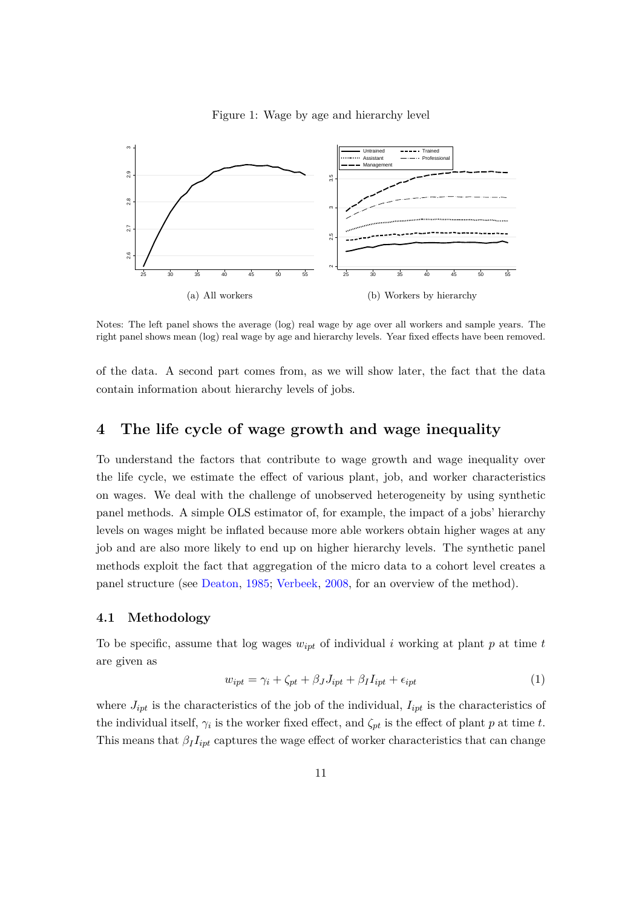

#### <span id="page-11-1"></span>Figure 1: Wage by age and hierarchy level

Notes: The left panel shows the average (log) real wage by age over all workers and sample years. The right panel shows mean (log) real wage by age and hierarchy levels. Year fixed effects have been removed.

of the data. A second part comes from, as we will show later, the fact that the data contain information about hierarchy levels of jobs.

## <span id="page-11-0"></span>**4 The life cycle of wage growth and wage inequality**

To understand the factors that contribute to wage growth and wage inequality over the life cycle, we estimate the effect of various plant, job, and worker characteristics on wages. We deal with the challenge of unobserved heterogeneity by using synthetic panel methods. A simple OLS estimator of, for example, the impact of a jobs' hierarchy levels on wages might be inflated because more able workers obtain higher wages at any job and are also more likely to end up on higher hierarchy levels. The synthetic panel methods exploit the fact that aggregation of the micro data to a cohort level creates a panel structure (see [Deaton](#page-30-0), [1985;](#page-30-0) [Verbeek,](#page-32-0) [2008](#page-32-0), for an overview of the method).

#### **4.1 Methodology**

To be specific, assume that log wages  $w_{ipt}$  of individual *i* working at plant *p* at time *t* are given as

$$
w_{ipt} = \gamma_i + \zeta_{pt} + \beta_J J_{ipt} + \beta_I I_{ipt} + \epsilon_{ipt}
$$
\n<sup>(1)</sup>

where  $J_{ipt}$  is the characteristics of the job of the individual,  $I_{ipt}$  is the characteristics of the individual itself,  $\gamma_i$  is the worker fixed effect, and  $\zeta_{pt}$  is the effect of plant *p* at time *t*. This means that  $\beta_I I_{ipt}$  captures the wage effect of worker characteristics that can change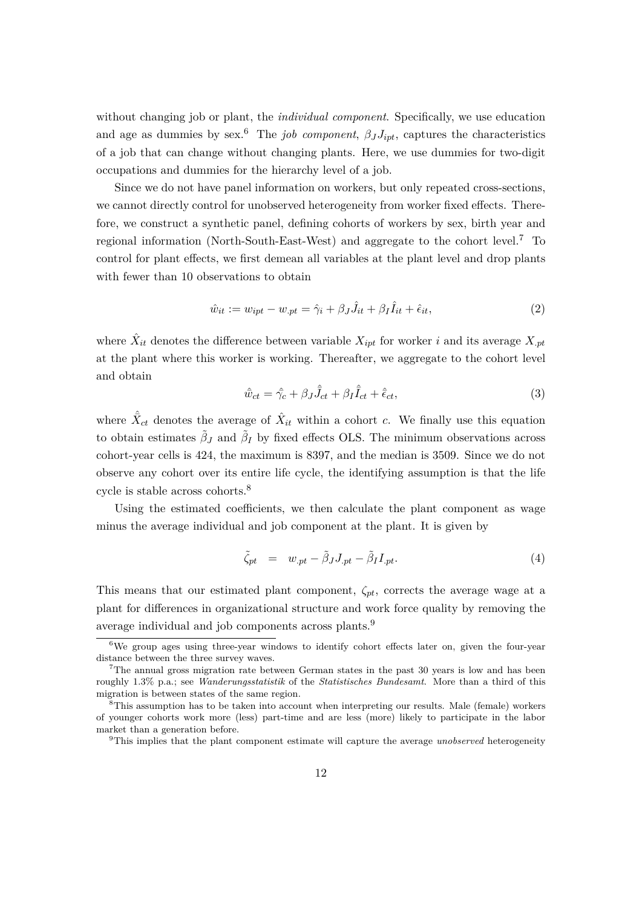without changing job or plant, the *individual component*. Specifically, we use education and age as dummies by sex.<sup>[6](#page-12-0)</sup> The *job component*,  $\beta_J J_{ipt}$ , captures the characteristics of a job that can change without changing plants. Here, we use dummies for two-digit occupations and dummies for the hierarchy level of a job.

Since we do not have panel information on workers, but only repeated cross-sections, we cannot directly control for unobserved heterogeneity from worker fixed effects. Therefore, we construct a synthetic panel, defining cohorts of workers by sex, birth year and regional information (North-South-East-West) and aggregate to the cohort level.[7](#page-12-1) To control for plant effects, we first demean all variables at the plant level and drop plants with fewer than 10 observations to obtain

$$
\hat{w}_{it} := w_{ipt} - w_{pt} = \hat{\gamma}_i + \beta_J \hat{J}_{it} + \beta_I \hat{I}_{it} + \hat{\epsilon}_{it},
$$
\n(2)

where  $\hat{X}_{it}$  denotes the difference between variable  $X_{ipt}$  for worker *i* and its average  $X_{.pt}$ at the plant where this worker is working. Thereafter, we aggregate to the cohort level and obtain

<span id="page-12-4"></span>
$$
\hat{w}_{ct} = \hat{\gamma}_c + \beta_J \hat{J}_{ct} + \beta_I \hat{I}_{ct} + \hat{\epsilon}_{ct},\tag{3}
$$

where  $\hat{X}_{ct}$  denotes the average of  $\hat{X}_{it}$  within a cohort *c*. We finally use this equation to obtain estimates  $\tilde{\beta}_J$  and  $\tilde{\beta}_I$  by fixed effects OLS. The minimum observations across cohort-year cells is 424, the maximum is 8397, and the median is 3509. Since we do not observe any cohort over its entire life cycle, the identifying assumption is that the life cycle is stable across cohorts.[8](#page-12-2)

Using the estimated coefficients, we then calculate the plant component as wage minus the average individual and job component at the plant. It is given by

$$
\tilde{\zeta}_{pt} = w_{.pt} - \tilde{\beta}_J J_{.pt} - \tilde{\beta}_I I_{.pt}.
$$
\n(4)

This means that our estimated plant component,  $\zeta_{pt}$ , corrects the average wage at a plant for differences in organizational structure and work force quality by removing the average individual and job components across plants.[9](#page-12-3)

<span id="page-12-0"></span><sup>&</sup>lt;sup>6</sup>We group ages using three-year windows to identify cohort effects later on, given the four-year distance between the three survey waves.

<span id="page-12-1"></span><sup>&</sup>lt;sup>7</sup>The annual gross migration rate between German states in the past 30 years is low and has been roughly 1.3% p.a.; see *Wanderungsstatistik* of the *Statistisches Bundesamt*. More than a third of this migration is between states of the same region.

<span id="page-12-2"></span><sup>8</sup>This assumption has to be taken into account when interpreting our results. Male (female) workers of younger cohorts work more (less) part-time and are less (more) likely to participate in the labor market than a generation before.

<span id="page-12-3"></span><sup>9</sup>This implies that the plant component estimate will capture the average *unobserved* heterogeneity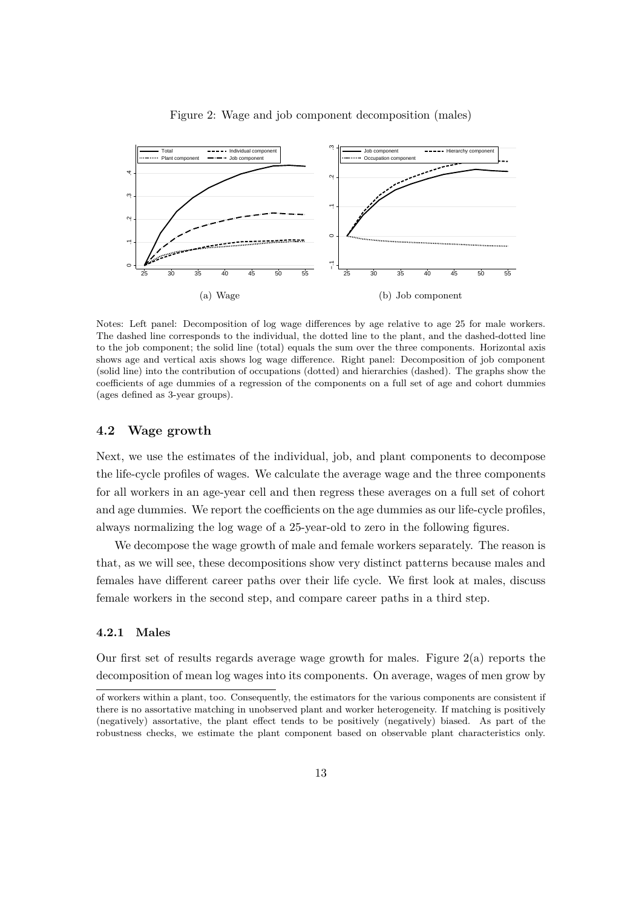<span id="page-13-0"></span>

Figure 2: Wage and job component decomposition (males)

Notes: Left panel: Decomposition of log wage differences by age relative to age 25 for male workers. The dashed line corresponds to the individual, the dotted line to the plant, and the dashed-dotted line to the job component; the solid line (total) equals the sum over the three components. Horizontal axis shows age and vertical axis shows log wage difference. Right panel: Decomposition of job component (solid line) into the contribution of occupations (dotted) and hierarchies (dashed). The graphs show the coefficients of age dummies of a regression of the components on a full set of age and cohort dummies (ages defined as 3-year groups).

#### **4.2 Wage growth**

Next, we use the estimates of the individual, job, and plant components to decompose the life-cycle profiles of wages. We calculate the average wage and the three components for all workers in an age-year cell and then regress these averages on a full set of cohort and age dummies. We report the coefficients on the age dummies as our life-cycle profiles, always normalizing the log wage of a 25-year-old to zero in the following figures.

We decompose the wage growth of male and female workers separately. The reason is that, as we will see, these decompositions show very distinct patterns because males and females have different career paths over their life cycle. We first look at males, discuss female workers in the second step, and compare career paths in a third step.

#### **4.2.1 Males**

Our first set of results regards average wage growth for males. Figure  $2(a)$  $2(a)$  reports the decomposition of mean log wages into its components. On average, wages of men grow by

of workers within a plant, too. Consequently, the estimators for the various components are consistent if there is no assortative matching in unobserved plant and worker heterogeneity. If matching is positively (negatively) assortative, the plant effect tends to be positively (negatively) biased. As part of the robustness checks, we estimate the plant component based on observable plant characteristics only.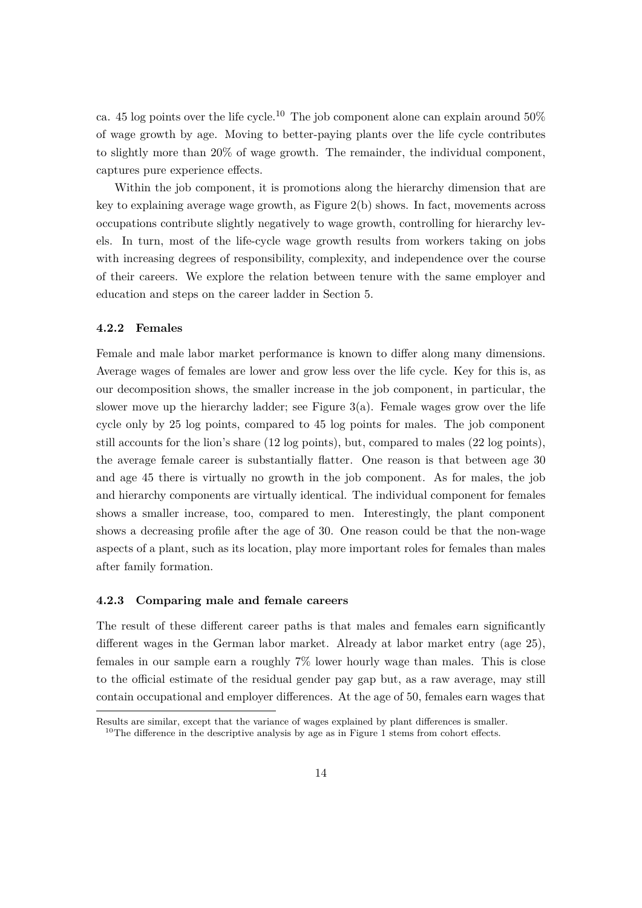ca. 45 log points over the life cycle.<sup>[10](#page-14-0)</sup> The job component alone can explain around 50% of wage growth by age. Moving to better-paying plants over the life cycle contributes to slightly more than 20% of wage growth. The remainder, the individual component, captures pure experience effects.

Within the job component, it is promotions along the hierarchy dimension that are key to explaining average wage growth, as Figure [2\(](#page-13-0)b) shows. In fact, movements across occupations contribute slightly negatively to wage growth, controlling for hierarchy levels. In turn, most of the life-cycle wage growth results from workers taking on jobs with increasing degrees of responsibility, complexity, and independence over the course of their careers. We explore the relation between tenure with the same employer and education and steps on the career ladder in Section [5](#page-19-0).

#### **4.2.2 Females**

Female and male labor market performance is known to differ along many dimensions. Average wages of females are lower and grow less over the life cycle. Key for this is, as our decomposition shows, the smaller increase in the job component, in particular, the slower move up the hierarchy ladder; see Figure  $3(a)$  $3(a)$ . Female wages grow over the life cycle only by 25 log points, compared to 45 log points for males. The job component still accounts for the lion's share (12 log points), but, compared to males (22 log points), the average female career is substantially flatter. One reason is that between age 30 and age 45 there is virtually no growth in the job component. As for males, the job and hierarchy components are virtually identical. The individual component for females shows a smaller increase, too, compared to men. Interestingly, the plant component shows a decreasing profile after the age of 30. One reason could be that the non-wage aspects of a plant, such as its location, play more important roles for females than males after family formation.

#### **4.2.3 Comparing male and female careers**

The result of these different career paths is that males and females earn significantly different wages in the German labor market. Already at labor market entry (age 25), females in our sample earn a roughly 7% lower hourly wage than males. This is close to the official estimate of the residual gender pay gap but, as a raw average, may still contain occupational and employer differences. At the age of 50, females earn wages that

Results are similar, except that the variance of wages explained by plant differences is smaller.

<span id="page-14-0"></span> $10$  $10$ The difference in the descriptive analysis by age as in Figure 1 stems from cohort effects.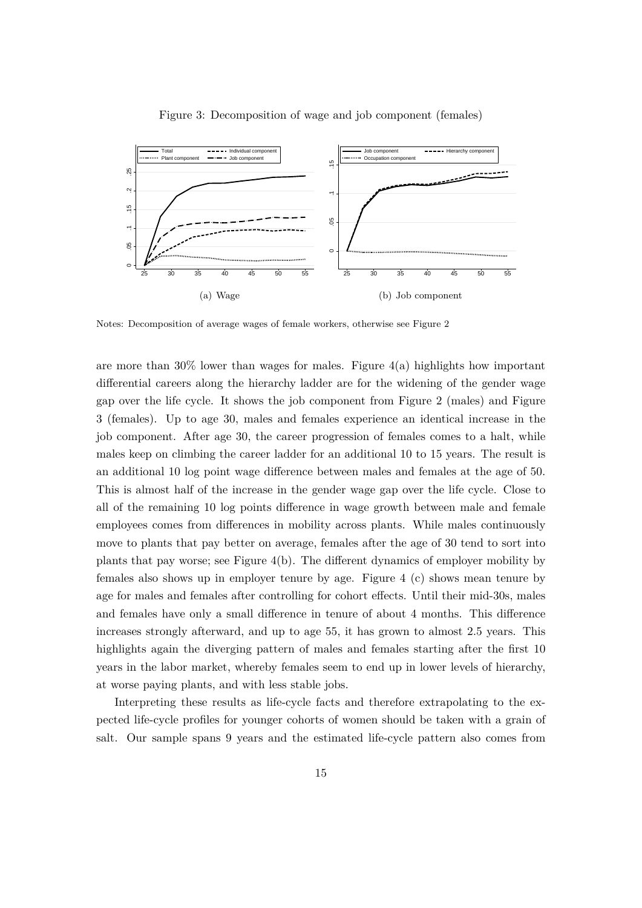<span id="page-15-0"></span>

Figure 3: Decomposition of wage and job component (females)

Notes: Decomposition of average wages of female workers, otherwise see Figure [2](#page-13-0)

are more than  $30\%$  lower than wages for males. Figure  $4(a)$  $4(a)$  highlights how important differential careers along the hierarchy ladder are for the widening of the gender wage gap over the life cycle. It shows the job component from Figure [2](#page-13-0) (males) and Figure [3](#page-15-0) (females). Up to age 30, males and females experience an identical increase in the job component. After age 30, the career progression of females comes to a halt, while males keep on climbing the career ladder for an additional 10 to 15 years. The result is an additional 10 log point wage difference between males and females at the age of 50. This is almost half of the increase in the gender wage gap over the life cycle. Close to all of the remaining 10 log points difference in wage growth between male and female employees comes from differences in mobility across plants. While males continuously move to plants that pay better on average, females after the age of 30 tend to sort into plants that pay worse; see Figure [4\(](#page-16-0)b). The different dynamics of employer mobility by females also shows up in employer tenure by age. Figure [4](#page-16-0) (c) shows mean tenure by age for males and females after controlling for cohort effects. Until their mid-30s, males and females have only a small difference in tenure of about 4 months. This difference increases strongly afterward, and up to age 55, it has grown to almost 2.5 years. This highlights again the diverging pattern of males and females starting after the first 10 years in the labor market, whereby females seem to end up in lower levels of hierarchy, at worse paying plants, and with less stable jobs.

Interpreting these results as life-cycle facts and therefore extrapolating to the expected life-cycle profiles for younger cohorts of women should be taken with a grain of salt. Our sample spans 9 years and the estimated life-cycle pattern also comes from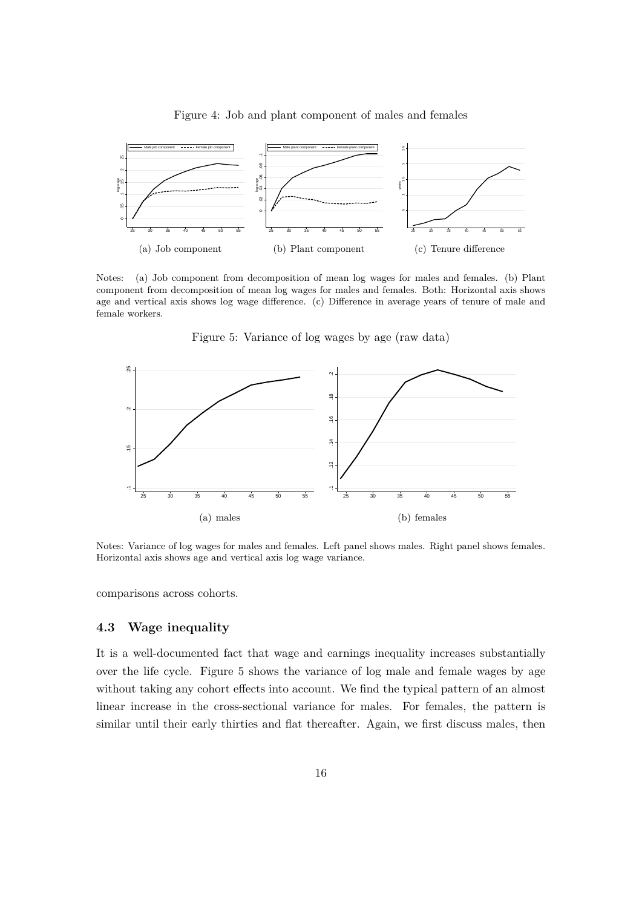<span id="page-16-0"></span>

Figure 4: Job and plant component of males and females

Notes: (a) Job component from decomposition of mean log wages for males and females. (b) Plant component from decomposition of mean log wages for males and females. Both: Horizontal axis shows age and vertical axis shows log wage difference. (c) Difference in average years of tenure of male and female workers.

<span id="page-16-1"></span>

Figure 5: Variance of log wages by age (raw data)

Notes: Variance of log wages for males and females. Left panel shows males. Right panel shows females. Horizontal axis shows age and vertical axis log wage variance.

(b) females

comparisons across cohorts.

(a) males

### **4.3 Wage inequality**

It is a well-documented fact that wage and earnings inequality increases substantially over the life cycle. Figure [5](#page-16-1) shows the variance of log male and female wages by age without taking any cohort effects into account. We find the typical pattern of an almost linear increase in the cross-sectional variance for males. For females, the pattern is similar until their early thirties and flat thereafter. Again, we first discuss males, then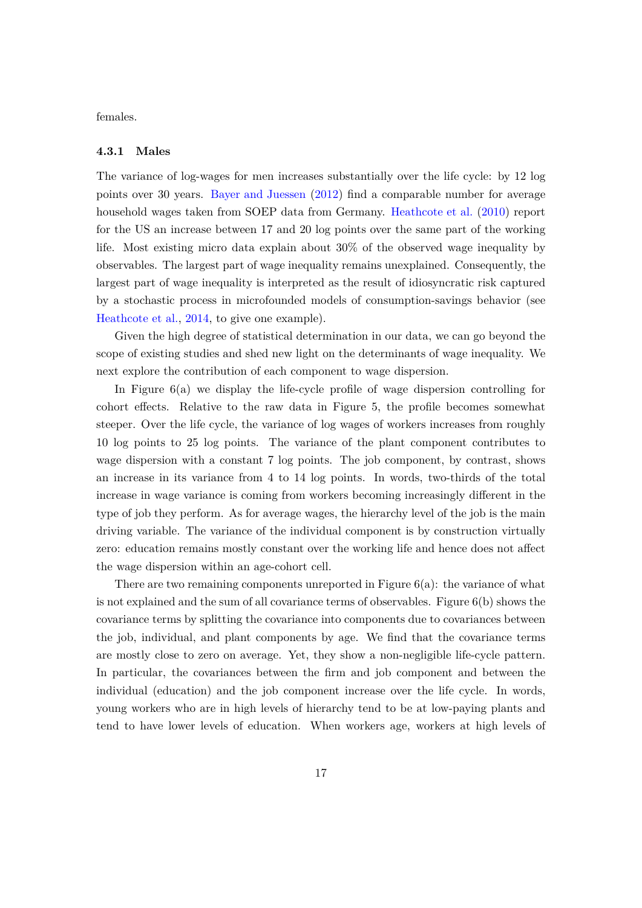females.

#### **4.3.1 Males**

The variance of log-wages for men increases substantially over the life cycle: by 12 log points over 30 years. [Bayer and Juessen](#page-30-11) [\(2012\)](#page-30-11) find a comparable number for average household wages taken from SOEP data from Germany. [Heathcote et al.](#page-31-9) ([2010\)](#page-31-9) report for the US an increase between 17 and 20 log points over the same part of the working life. Most existing micro data explain about 30% of the observed wage inequality by observables. The largest part of wage inequality remains unexplained. Consequently, the largest part of wage inequality is interpreted as the result of idiosyncratic risk captured by a stochastic process in microfounded models of consumption-savings behavior (see [Heathcote et al.](#page-31-10), [2014,](#page-31-10) to give one example).

Given the high degree of statistical determination in our data, we can go beyond the scope of existing studies and shed new light on the determinants of wage inequality. We next explore the contribution of each component to wage dispersion.

In Figure [6](#page-18-0)(a) we display the life-cycle profile of wage dispersion controlling for cohort effects. Relative to the raw data in Figure [5](#page-16-1), the profile becomes somewhat steeper. Over the life cycle, the variance of log wages of workers increases from roughly 10 log points to 25 log points. The variance of the plant component contributes to wage dispersion with a constant 7 log points. The job component, by contrast, shows an increase in its variance from 4 to 14 log points. In words, two-thirds of the total increase in wage variance is coming from workers becoming increasingly different in the type of job they perform. As for average wages, the hierarchy level of the job is the main driving variable. The variance of the individual component is by construction virtually zero: education remains mostly constant over the working life and hence does not affect the wage dispersion within an age-cohort cell.

There are two remaining components unreported in Figure  $6(a)$  $6(a)$ : the variance of what is not explained and the sum of all covariance terms of observables. Figure [6](#page-18-0)(b) shows the covariance terms by splitting the covariance into components due to covariances between the job, individual, and plant components by age. We find that the covariance terms are mostly close to zero on average. Yet, they show a non-negligible life-cycle pattern. In particular, the covariances between the firm and job component and between the individual (education) and the job component increase over the life cycle. In words, young workers who are in high levels of hierarchy tend to be at low-paying plants and tend to have lower levels of education. When workers age, workers at high levels of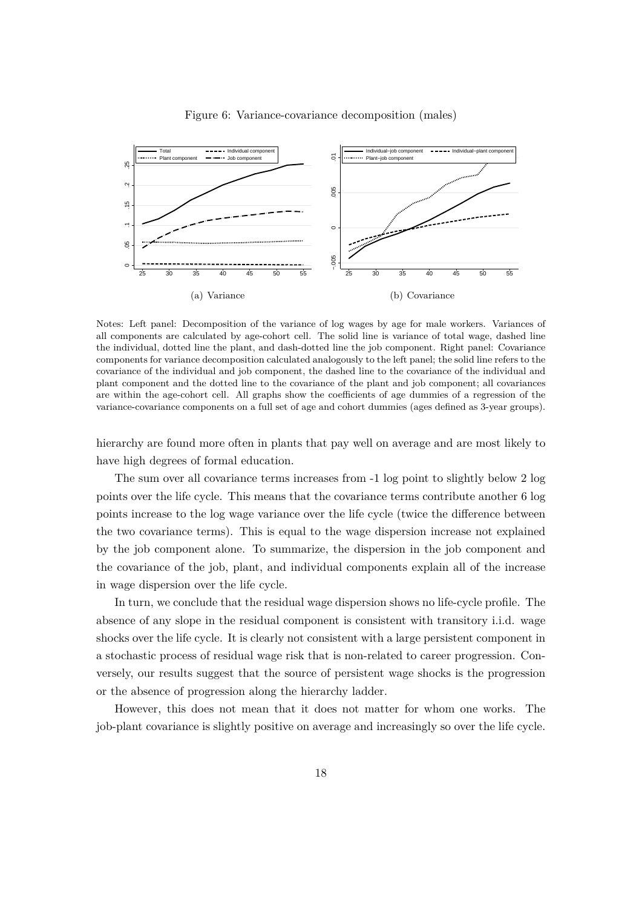<span id="page-18-0"></span>

Figure 6: Variance-covariance decomposition (males)

Notes: Left panel: Decomposition of the variance of log wages by age for male workers. Variances of all components are calculated by age-cohort cell. The solid line is variance of total wage, dashed line the individual, dotted line the plant, and dash-dotted line the job component. Right panel: Covariance components for variance decomposition calculated analogously to the left panel; the solid line refers to the covariance of the individual and job component, the dashed line to the covariance of the individual and plant component and the dotted line to the covariance of the plant and job component; all covariances are within the age-cohort cell. All graphs show the coefficients of age dummies of a regression of the variance-covariance components on a full set of age and cohort dummies (ages defined as 3-year groups).

hierarchy are found more often in plants that pay well on average and are most likely to have high degrees of formal education.

The sum over all covariance terms increases from -1 log point to slightly below 2 log points over the life cycle. This means that the covariance terms contribute another 6 log points increase to the log wage variance over the life cycle (twice the difference between the two covariance terms). This is equal to the wage dispersion increase not explained by the job component alone. To summarize, the dispersion in the job component and the covariance of the job, plant, and individual components explain all of the increase in wage dispersion over the life cycle.

In turn, we conclude that the residual wage dispersion shows no life-cycle profile. The absence of any slope in the residual component is consistent with transitory i.i.d. wage shocks over the life cycle. It is clearly not consistent with a large persistent component in a stochastic process of residual wage risk that is non-related to career progression. Conversely, our results suggest that the source of persistent wage shocks is the progression or the absence of progression along the hierarchy ladder.

However, this does not mean that it does not matter for whom one works. The job-plant covariance is slightly positive on average and increasingly so over the life cycle.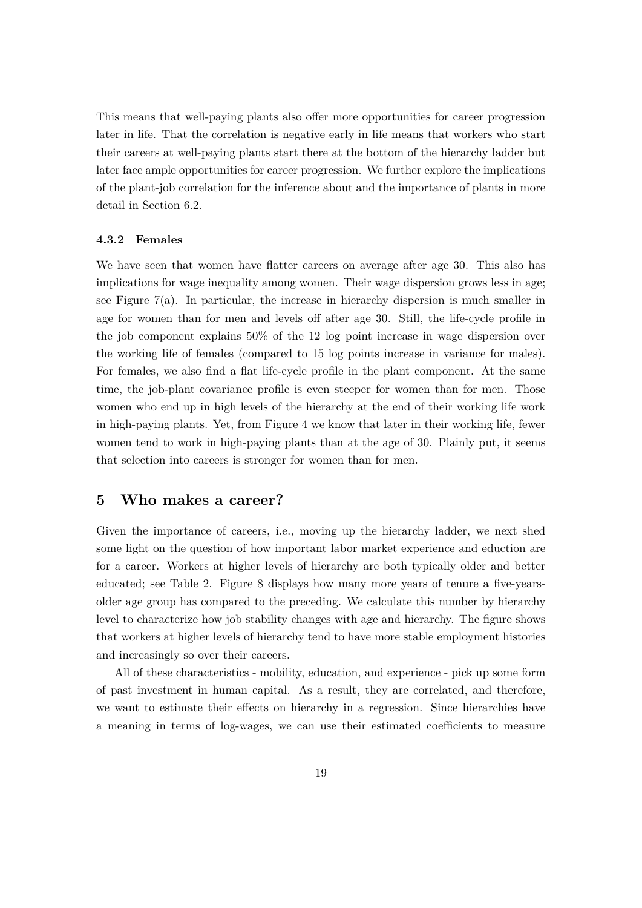This means that well-paying plants also offer more opportunities for career progression later in life. That the correlation is negative early in life means that workers who start their careers at well-paying plants start there at the bottom of the hierarchy ladder but later face ample opportunities for career progression. We further explore the implications of the plant-job correlation for the inference about and the importance of plants in more detail in Section [6.2](#page-26-0).

#### **4.3.2 Females**

We have seen that women have flatter careers on average after age 30. This also has implications for wage inequality among women. Their wage dispersion grows less in age; see Figure [7](#page-20-0)(a). In particular, the increase in hierarchy dispersion is much smaller in age for women than for men and levels off after age 30. Still, the life-cycle profile in the job component explains 50% of the 12 log point increase in wage dispersion over the working life of females (compared to 15 log points increase in variance for males). For females, we also find a flat life-cycle profile in the plant component. At the same time, the job-plant covariance profile is even steeper for women than for men. Those women who end up in high levels of the hierarchy at the end of their working life work in high-paying plants. Yet, from Figure [4](#page-16-0) we know that later in their working life, fewer women tend to work in high-paying plants than at the age of 30. Plainly put, it seems that selection into careers is stronger for women than for men.

## <span id="page-19-0"></span>**5 Who makes a career?**

Given the importance of careers, i.e., moving up the hierarchy ladder, we next shed some light on the question of how important labor market experience and eduction are for a career. Workers at higher levels of hierarchy are both typically older and better educated; see Table [2.](#page-21-0) Figure [8](#page-22-0) displays how many more years of tenure a five-yearsolder age group has compared to the preceding. We calculate this number by hierarchy level to characterize how job stability changes with age and hierarchy. The figure shows that workers at higher levels of hierarchy tend to have more stable employment histories and increasingly so over their careers.

All of these characteristics - mobility, education, and experience - pick up some form of past investment in human capital. As a result, they are correlated, and therefore, we want to estimate their effects on hierarchy in a regression. Since hierarchies have a meaning in terms of log-wages, we can use their estimated coefficients to measure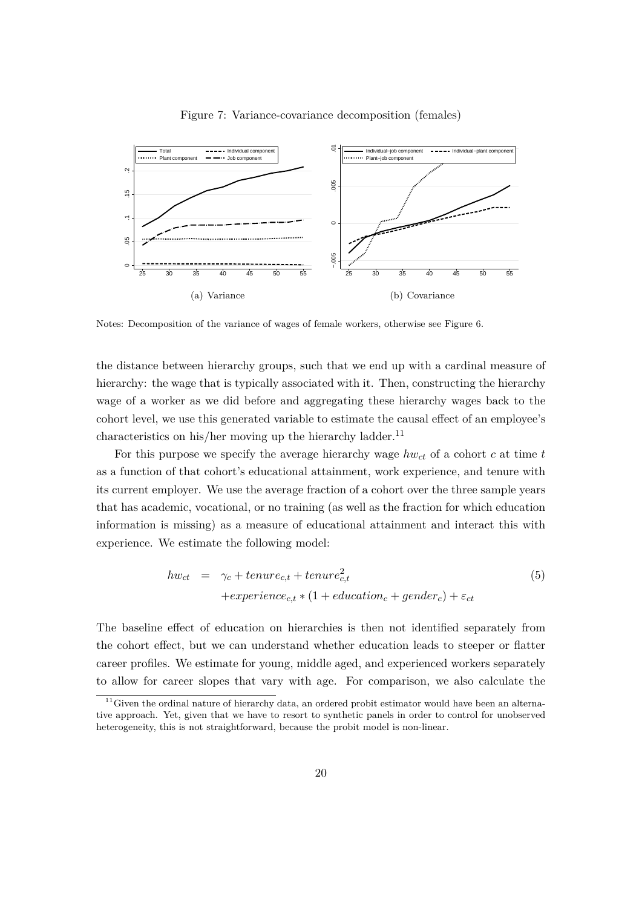<span id="page-20-0"></span>

#### Figure 7: Variance-covariance decomposition (females)

Notes: Decomposition of the variance of wages of female workers, otherwise see Figure [6](#page-18-0).

the distance between hierarchy groups, such that we end up with a cardinal measure of hierarchy: the wage that is typically associated with it. Then, constructing the hierarchy wage of a worker as we did before and aggregating these hierarchy wages back to the cohort level, we use this generated variable to estimate the causal effect of an employee's characteristics on his/her moving up the hierarchy ladder.<sup>[11](#page-20-1)</sup>

For this purpose we specify the average hierarchy wage  $hw_{ct}$  of a cohort  $c$  at time  $t$ as a function of that cohort's educational attainment, work experience, and tenure with its current employer. We use the average fraction of a cohort over the three sample years that has academic, vocational, or no training (as well as the fraction for which education information is missing) as a measure of educational attainment and interact this with experience. We estimate the following model:

<span id="page-20-2"></span>
$$
hw_{ct} = \gamma_c + tenure_{c,t} + tenure_{c,t}^2
$$
  
+
$$
+ experience_{c,t} * (1 + education_c + gender_c) + \varepsilon_{ct}
$$
  
(5)

The baseline effect of education on hierarchies is then not identified separately from the cohort effect, but we can understand whether education leads to steeper or flatter career profiles. We estimate for young, middle aged, and experienced workers separately to allow for career slopes that vary with age. For comparison, we also calculate the

<span id="page-20-1"></span> $11$ Given the ordinal nature of hierarchy data, an ordered probit estimator would have been an alternative approach. Yet, given that we have to resort to synthetic panels in order to control for unobserved heterogeneity, this is not straightforward, because the probit model is non-linear.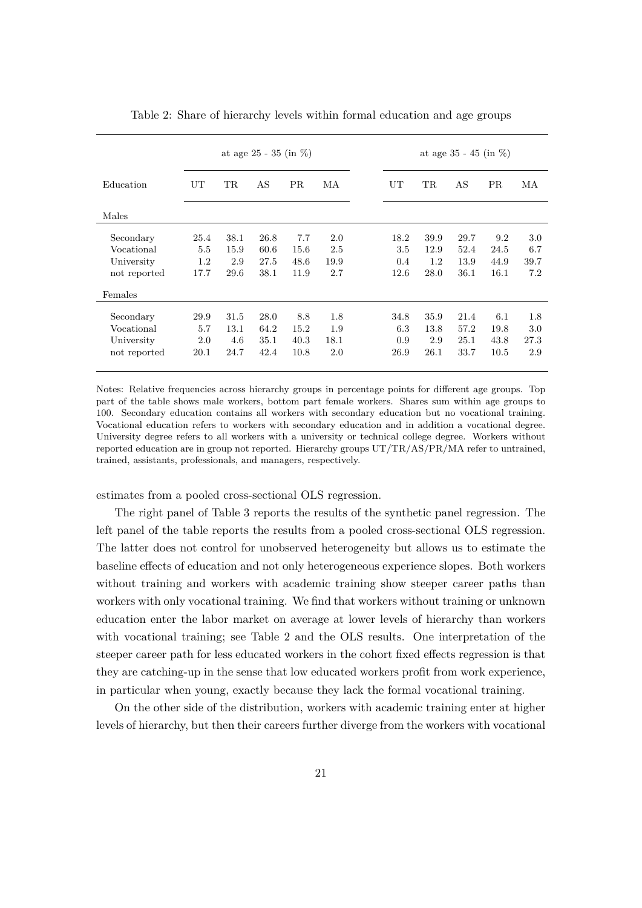|              | at age 25 - 35 (in $\%$ ) |           |      |           | at age $35 - 45$ (in $\%$ ) |  |      |           |      |           |      |
|--------------|---------------------------|-----------|------|-----------|-----------------------------|--|------|-----------|------|-----------|------|
| Education    | UT                        | <b>TR</b> | AS   | <b>PR</b> | МA                          |  | UT   | <b>TR</b> | AS   | <b>PR</b> | МA   |
| Males        |                           |           |      |           |                             |  |      |           |      |           |      |
| Secondary    | 25.4                      | 38.1      | 26.8 | 7.7       | 2.0                         |  | 18.2 | 39.9      | 29.7 | 9.2       | 3.0  |
| Vocational   | 5.5                       | 15.9      | 60.6 | 15.6      | 2.5                         |  | 3.5  | 12.9      | 52.4 | 24.5      | 6.7  |
| University   | 1.2                       | 2.9       | 27.5 | 48.6      | 19.9                        |  | 0.4  | 1.2       | 13.9 | 44.9      | 39.7 |
| not reported | 17.7                      | 29.6      | 38.1 | 11.9      | 2.7                         |  | 12.6 | 28.0      | 36.1 | 16.1      | 7.2  |
| Females      |                           |           |      |           |                             |  |      |           |      |           |      |
| Secondary    | 29.9                      | 31.5      | 28.0 | 8.8       | 1.8                         |  | 34.8 | 35.9      | 21.4 | 6.1       | 1.8  |
| Vocational   | 5.7                       | 13.1      | 64.2 | 15.2      | 1.9                         |  | 6.3  | 13.8      | 57.2 | 19.8      | 3.0  |
| University   | 2.0                       | 4.6       | 35.1 | 40.3      | 18.1                        |  | 0.9  | 2.9       | 25.1 | 43.8      | 27.3 |
| not reported | 20.1                      | 24.7      | 42.4 | 10.8      | 2.0                         |  | 26.9 | 26.1      | 33.7 | 10.5      | 2.9  |

<span id="page-21-0"></span>Table 2: Share of hierarchy levels within formal education and age groups

Notes: Relative frequencies across hierarchy groups in percentage points for different age groups. Top part of the table shows male workers, bottom part female workers. Shares sum within age groups to 100. Secondary education contains all workers with secondary education but no vocational training. Vocational education refers to workers with secondary education and in addition a vocational degree. University degree refers to all workers with a university or technical college degree. Workers without reported education are in group not reported. Hierarchy groups UT/TR/AS/PR/MA refer to untrained, trained, assistants, professionals, and managers, respectively.

estimates from a pooled cross-sectional OLS regression.

The right panel of Table [3](#page-23-1) reports the results of the synthetic panel regression. The left panel of the table reports the results from a pooled cross-sectional OLS regression. The latter does not control for unobserved heterogeneity but allows us to estimate the baseline effects of education and not only heterogeneous experience slopes. Both workers without training and workers with academic training show steeper career paths than workers with only vocational training. We find that workers without training or unknown education enter the labor market on average at lower levels of hierarchy than workers with vocational training; see Table [2](#page-21-0) and the OLS results. One interpretation of the steeper career path for less educated workers in the cohort fixed effects regression is that they are catching-up in the sense that low educated workers profit from work experience, in particular when young, exactly because they lack the formal vocational training.

On the other side of the distribution, workers with academic training enter at higher levels of hierarchy, but then their careers further diverge from the workers with vocational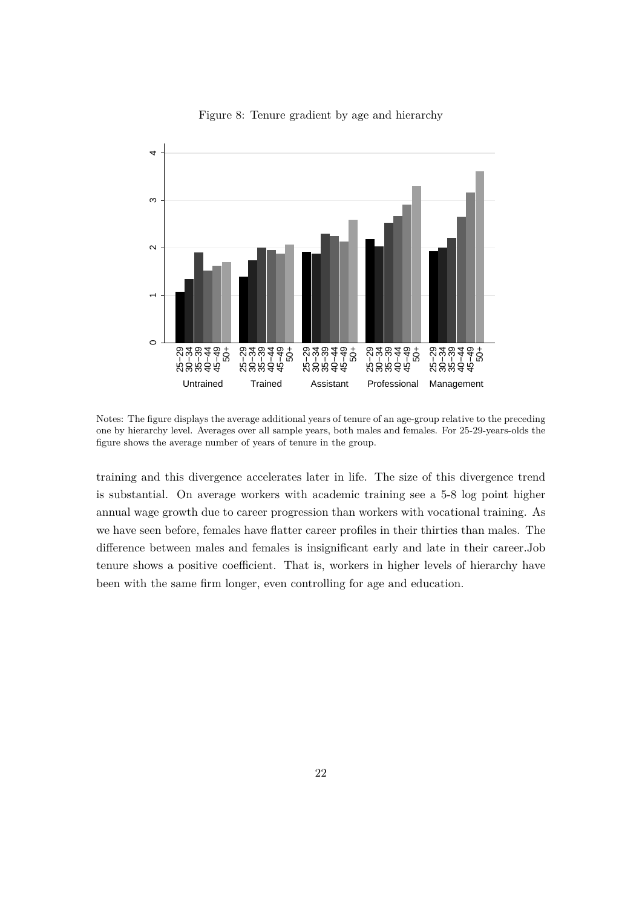<span id="page-22-0"></span>

Figure 8: Tenure gradient by age and hierarchy

Notes: The figure displays the average additional years of tenure of an age-group relative to the preceding one by hierarchy level. Averages over all sample years, both males and females. For 25-29-years-olds the figure shows the average number of years of tenure in the group.

training and this divergence accelerates later in life. The size of this divergence trend is substantial. On average workers with academic training see a 5-8 log point higher annual wage growth due to career progression than workers with vocational training. As we have seen before, females have flatter career profiles in their thirties than males. The difference between males and females is insignificant early and late in their career.Job tenure shows a positive coefficient. That is, workers in higher levels of hierarchy have been with the same firm longer, even controlling for age and education.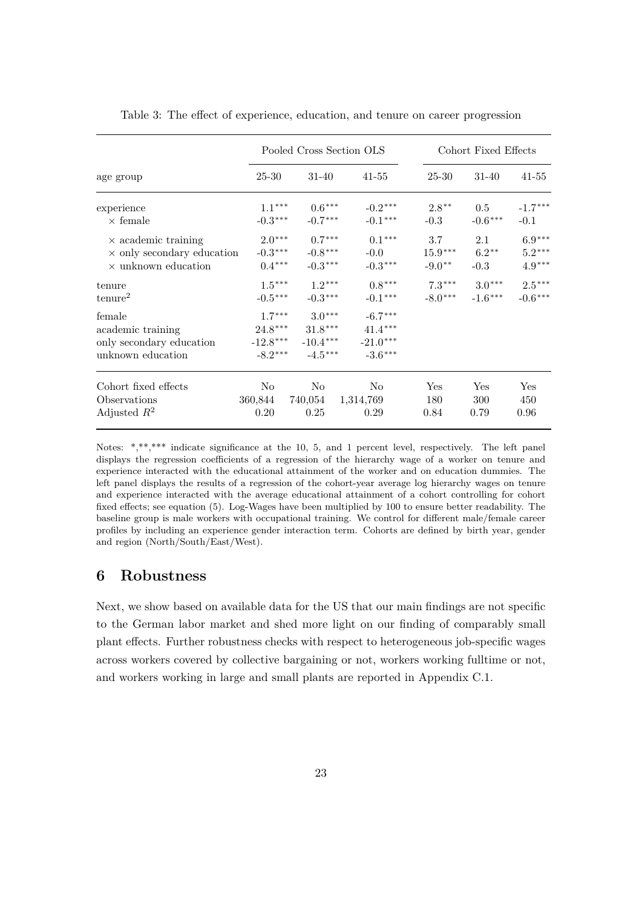|                                   |            | Pooled Cross Section OLS |            | Cohort Fixed Effects |           |                      |
|-----------------------------------|------------|--------------------------|------------|----------------------|-----------|----------------------|
| age group                         | 25-30      | 31-40                    | $41 - 55$  | 25-30                | $31 - 40$ | $41 - 55$            |
| experience                        | $1.1***$   | $0.6***$                 | $-0.2***$  | $2.8**$              | 0.5       | $-1.7***$            |
| $\times$ female                   | $-0.3***$  | $-0.7***$                | $-0.1***$  | $-0.3$               | $-0.6***$ | $-0.1$               |
| $\times$ academic training        | $2.0***$   | $0.7***$                 | $0.1***$   | 3.7                  | 2.1       | $6.9^{\ast\ast\ast}$ |
| $\times$ only secondary education | $-0.3***$  | $-0.8***$                | $-0.0$     | $15.9***$            | $6.2**$   | $5.2***$             |
| $\times$ unknown education        | $0.4***$   | $-0.3***$                | $-0.3***$  | $-9.0**$             | $-0.3$    | $4.9***$             |
| tenure                            | $1.5***$   | $1.2***$                 | $0.8***$   | $7.3***$             | $3.0***$  | $2.5***$             |
| tenure <sup>2</sup>               | $-0.5***$  | $-0.3***$                | $-0.1***$  | $-8.0***$            | $-1.6***$ | $-0.6***$            |
| female                            | $1.7***$   | $3.0***$                 | $-6.7***$  |                      |           |                      |
| academic training                 | $24.8***$  | $31.8***$                | $41.4***$  |                      |           |                      |
| only secondary education          | $-12.8***$ | $-10.4***$               | $-21.0***$ |                      |           |                      |
| unknown education                 | $-8.2***$  | $-4.5***$                | $-3.6***$  |                      |           |                      |
| Cohort fixed effects              | No         | No                       | $\rm No$   | Yes                  | Yes       | Yes                  |
| Observations                      | 360,844    | 740,054                  | 1,314,769  | 180                  | 300       | 450                  |
| Adjusted $R^2$                    | 0.20       | 0.25                     | 0.29       | 0.84                 | 0.79      | 0.96                 |

<span id="page-23-1"></span>Table 3: The effect of experience, education, and tenure on career progression

Notes: \*,\*\*,\*\*\* indicate significance at the 10, 5, and 1 percent level, respectively. The left panel displays the regression coefficients of a regression of the hierarchy wage of a worker on tenure and experience interacted with the educational attainment of the worker and on education dummies. The left panel displays the results of a regression of the cohort-year average log hierarchy wages on tenure and experience interacted with the average educational attainment of a cohort controlling for cohort fixed effects; see equation ([5](#page-20-2)). Log-Wages have been multiplied by 100 to ensure better readability. The baseline group is male workers with occupational training. We control for different male/female career profiles by including an experience gender interaction term. Cohorts are defined by birth year, gender and region (North/South/East/West).

## <span id="page-23-0"></span>**6 Robustness**

Next, we show based on available data for the US that our main findings are not specific to the German labor market and shed more light on our finding of comparably small plant effects. Further robustness checks with respect to heterogeneous job-specific wages across workers covered by collective bargaining or not, workers working fulltime or not, and workers working in large and small plants are reported in Appendix [C.1.](#page-36-0)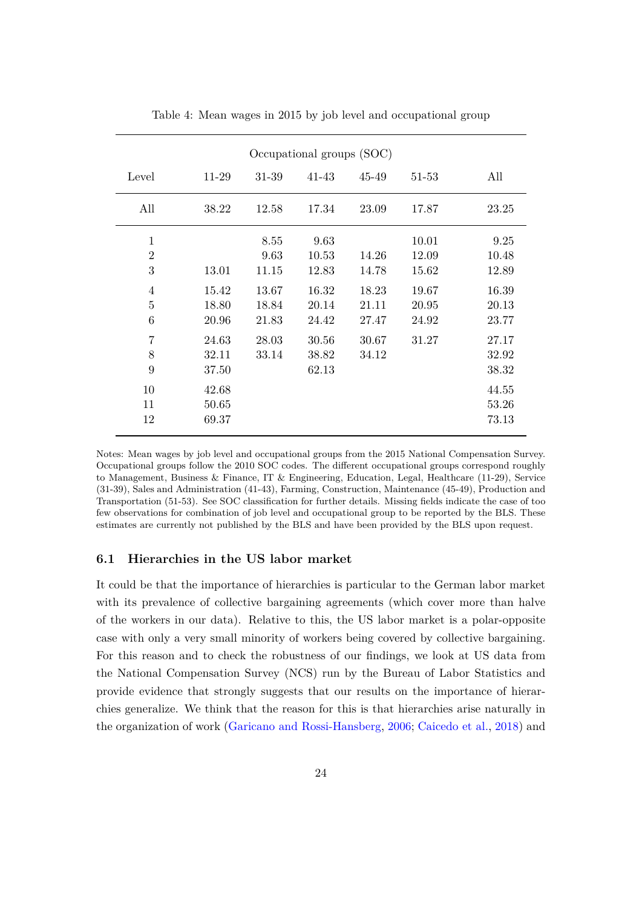<span id="page-24-1"></span>

| Occupational groups (SOC)             |                         |                         |                         |                         |                         |                         |  |  |  |
|---------------------------------------|-------------------------|-------------------------|-------------------------|-------------------------|-------------------------|-------------------------|--|--|--|
| Level                                 | 11-29                   | 31-39                   | 41-43                   | 45-49                   | 51-53                   | All                     |  |  |  |
| All                                   | 38.22                   | 12.58                   | 17.34                   | 23.09                   | 17.87                   | 23.25                   |  |  |  |
| 1<br>$\overline{2}$<br>3              | 13.01                   | 8.55<br>9.63<br>11.15   | 9.63<br>10.53<br>12.83  | 14.26<br>14.78          | 10.01<br>12.09<br>15.62 | 9.25<br>10.48<br>12.89  |  |  |  |
| $\overline{4}$<br>$\overline{5}$<br>6 | 15.42<br>18.80<br>20.96 | 13.67<br>18.84<br>21.83 | 16.32<br>20.14<br>24.42 | 18.23<br>21.11<br>27.47 | 19.67<br>20.95<br>24.92 | 16.39<br>20.13<br>23.77 |  |  |  |
| 7<br>8<br>9                           | 24.63<br>32.11<br>37.50 | 28.03<br>33.14          | 30.56<br>38.82<br>62.13 | 30.67<br>34.12          | 31.27                   | 27.17<br>32.92<br>38.32 |  |  |  |
| 10<br>11<br>12                        | 42.68<br>50.65<br>69.37 |                         |                         |                         |                         | 44.55<br>53.26<br>73.13 |  |  |  |

Table 4: Mean wages in 2015 by job level and occupational group

Notes: Mean wages by job level and occupational groups from the 2015 National Compensation Survey. Occupational groups follow the 2010 SOC codes. The different occupational groups correspond roughly to Management, Business & Finance, IT & Engineering, Education, Legal, Healthcare (11-29), Service (31-39), Sales and Administration (41-43), Farming, Construction, Maintenance (45-49), Production and Transportation (51-53). See SOC classification for further details. Missing fields indicate the case of too few observations for combination of job level and occupational group to be reported by the BLS. These estimates are currently not published by the BLS and have been provided by the BLS upon request.

#### <span id="page-24-0"></span>**6.1 Hierarchies in the US labor market**

It could be that the importance of hierarchies is particular to the German labor market with its prevalence of collective bargaining agreements (which cover more than halve of the workers in our data). Relative to this, the US labor market is a polar-opposite case with only a very small minority of workers being covered by collective bargaining. For this reason and to check the robustness of our findings, we look at US data from the National Compensation Survey (NCS) run by the Bureau of Labor Statistics and provide evidence that strongly suggests that our results on the importance of hierarchies generalize. We think that the reason for this is that hierarchies arise naturally in the organization of work ([Garicano and Rossi-Hansberg,](#page-30-10) [2006](#page-30-10); [Caicedo et al.](#page-30-8), [2018](#page-30-8)) and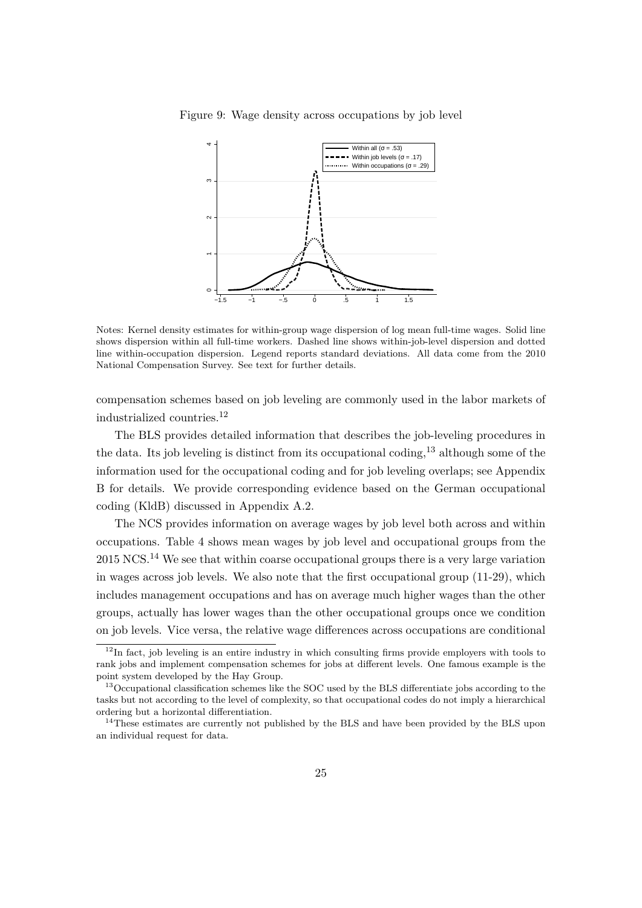

<span id="page-25-3"></span>Figure 9: Wage density across occupations by job level

Notes: Kernel density estimates for within-group wage dispersion of log mean full-time wages. Solid line shows dispersion within all full-time workers. Dashed line shows within-job-level dispersion and dotted line within-occupation dispersion. Legend reports standard deviations. All data come from the 2010 National Compensation Survey. See text for further details.

compensation schemes based on job leveling are commonly used in the labor markets of industrialized countries.[12](#page-25-0)

The BLS provides detailed information that describes the job-leveling procedures in the data. Its job leveling is distinct from its occupational coding,[13](#page-25-1) although some of the information used for the occupational coding and for job leveling overlaps; see Appendix [B](#page-35-0) for details. We provide corresponding evidence based on the German occupational coding (KldB) discussed in Appendix [A.2](#page-33-2).

The NCS provides information on average wages by job level both across and within occupations. Table [4](#page-24-1) shows mean wages by job level and occupational groups from the 2015 NCS.[14](#page-25-2) We see that within coarse occupational groups there is a very large variation in wages across job levels. We also note that the first occupational group (11-29), which includes management occupations and has on average much higher wages than the other groups, actually has lower wages than the other occupational groups once we condition on job levels. Vice versa, the relative wage differences across occupations are conditional

<span id="page-25-0"></span> $12$ In fact, job leveling is an entire industry in which consulting firms provide employers with tools to rank jobs and implement compensation schemes for jobs at different levels. One famous example is the point system developed by the Hay Group.

<span id="page-25-1"></span><sup>&</sup>lt;sup>13</sup>Occupational classification schemes like the SOC used by the BLS differentiate jobs according to the tasks but not according to the level of complexity, so that occupational codes do not imply a hierarchical ordering but a horizontal differentiation.

<span id="page-25-2"></span><sup>&</sup>lt;sup>14</sup>These estimates are currently not published by the BLS and have been provided by the BLS upon an individual request for data.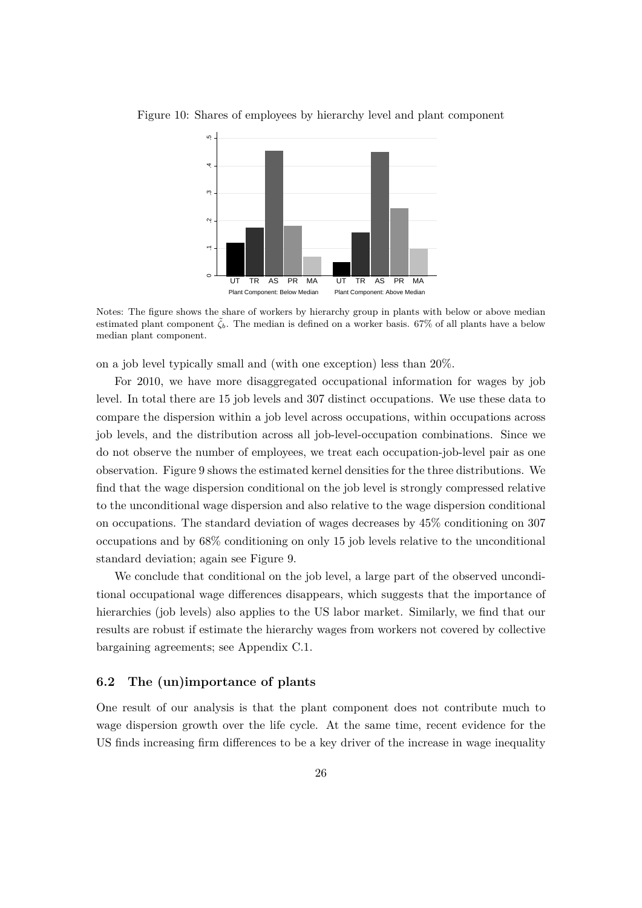

<span id="page-26-1"></span>Figure 10: Shares of employees by hierarchy level and plant component

Notes: The figure shows the share of workers by hierarchy group in plants with below or above median estimated plant component  $\zeta_b$ . The median is defined on a worker basis. 67% of all plants have a below median plant component.

on a job level typically small and (with one exception) less than 20%.

For 2010, we have more disaggregated occupational information for wages by job level. In total there are 15 job levels and 307 distinct occupations. We use these data to compare the dispersion within a job level across occupations, within occupations across job levels, and the distribution across all job-level-occupation combinations. Since we do not observe the number of employees, we treat each occupation-job-level pair as one observation. Figure [9](#page-25-3) shows the estimated kernel densities for the three distributions. We find that the wage dispersion conditional on the job level is strongly compressed relative to the unconditional wage dispersion and also relative to the wage dispersion conditional on occupations. The standard deviation of wages decreases by 45% conditioning on 307 occupations and by 68% conditioning on only 15 job levels relative to the unconditional standard deviation; again see Figure [9](#page-25-3).

We conclude that conditional on the job level, a large part of the observed unconditional occupational wage differences disappears, which suggests that the importance of hierarchies (job levels) also applies to the US labor market. Similarly, we find that our results are robust if estimate the hierarchy wages from workers not covered by collective bargaining agreements; see Appendix [C.1](#page-36-0).

#### <span id="page-26-0"></span>**6.2 The (un)importance of plants**

One result of our analysis is that the plant component does not contribute much to wage dispersion growth over the life cycle. At the same time, recent evidence for the US finds increasing firm differences to be a key driver of the increase in wage inequality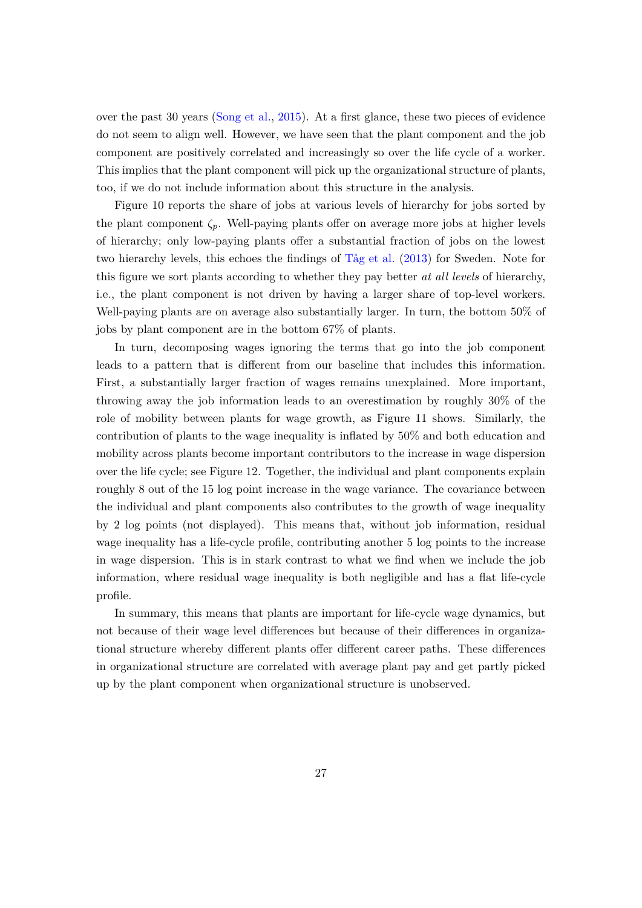over the past 30 years [\(Song et al.](#page-32-2), [2015\)](#page-32-2). At a first glance, these two pieces of evidence do not seem to align well. However, we have seen that the plant component and the job component are positively correlated and increasingly so over the life cycle of a worker. This implies that the plant component will pick up the organizational structure of plants, too, if we do not include information about this structure in the analysis.

Figure [10](#page-26-1) reports the share of jobs at various levels of hierarchy for jobs sorted by the plant component  $\zeta_p$ . Well-paying plants offer on average more jobs at higher levels of hierarchy; only low-paying plants offer a substantial fraction of jobs on the lowest two hierarchy levels, this echoes the findings of [Tåg et al.](#page-32-11) ([2013](#page-32-11)) for Sweden. Note for this figure we sort plants according to whether they pay better *at all levels* of hierarchy, i.e., the plant component is not driven by having a larger share of top-level workers. Well-paying plants are on average also substantially larger. In turn, the bottom 50% of jobs by plant component are in the bottom 67% of plants.

In turn, decomposing wages ignoring the terms that go into the job component leads to a pattern that is different from our baseline that includes this information. First, a substantially larger fraction of wages remains unexplained. More important, throwing away the job information leads to an overestimation by roughly 30% of the role of mobility between plants for wage growth, as Figure [11](#page-28-0) shows. Similarly, the contribution of plants to the wage inequality is inflated by 50% and both education and mobility across plants become important contributors to the increase in wage dispersion over the life cycle; see Figure [12](#page-28-1). Together, the individual and plant components explain roughly 8 out of the 15 log point increase in the wage variance. The covariance between the individual and plant components also contributes to the growth of wage inequality by 2 log points (not displayed). This means that, without job information, residual wage inequality has a life-cycle profile, contributing another 5 log points to the increase in wage dispersion. This is in stark contrast to what we find when we include the job information, where residual wage inequality is both negligible and has a flat life-cycle profile.

In summary, this means that plants are important for life-cycle wage dynamics, but not because of their wage level differences but because of their differences in organizational structure whereby different plants offer different career paths. These differences in organizational structure are correlated with average plant pay and get partly picked up by the plant component when organizational structure is unobserved.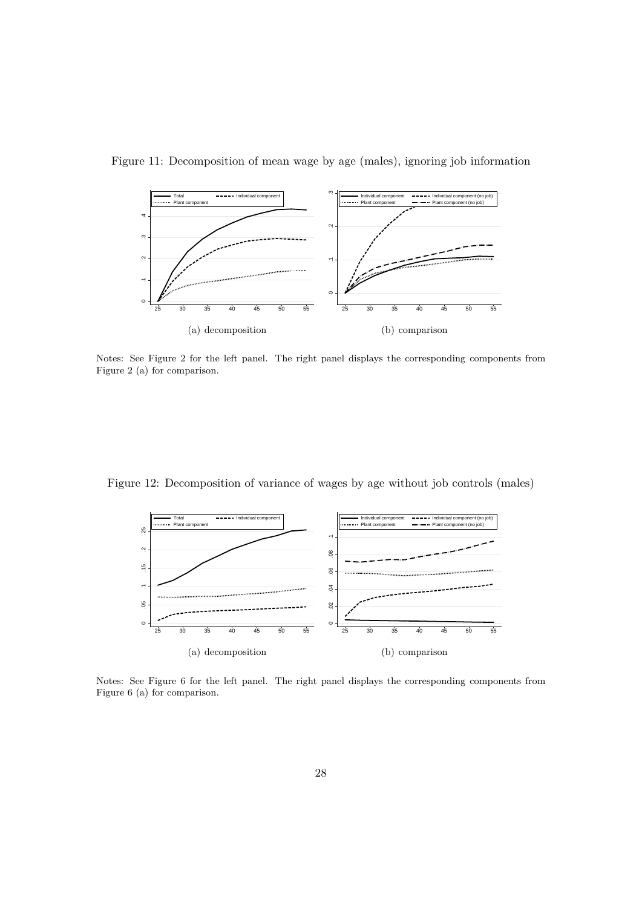

<span id="page-28-0"></span>Figure 11: Decomposition of mean wage by age (males), ignoring job information

Notes: See Figure [2](#page-13-0) for the left panel. The right panel displays the corresponding components from Figure [2](#page-13-0) (a) for comparison.

<span id="page-28-1"></span>Figure 12: Decomposition of variance of wages by age without job controls (males)



Notes: See Figure [6](#page-18-0) for the left panel. The right panel displays the corresponding components from Figure [6](#page-18-0) (a) for comparison.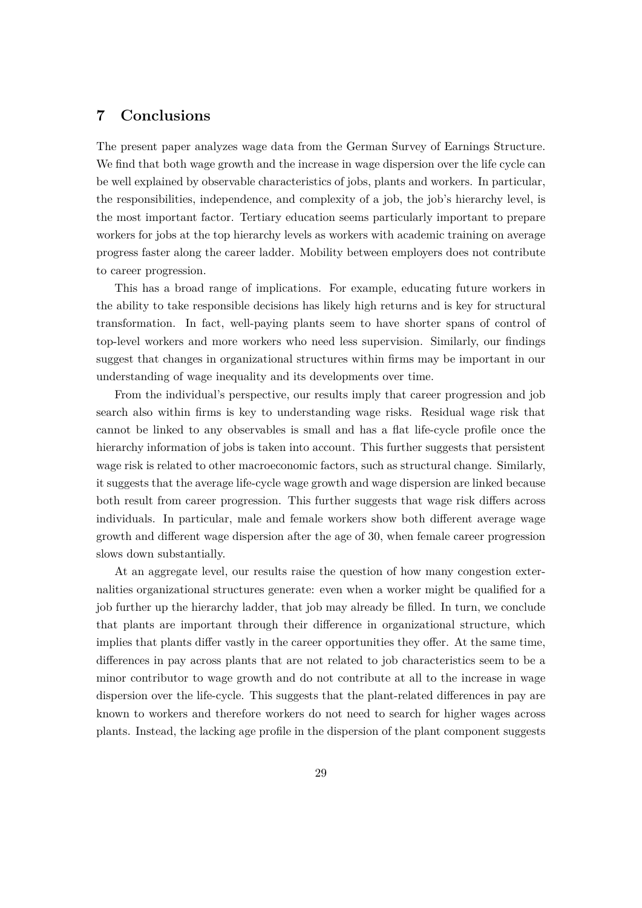## <span id="page-29-0"></span>**7 Conclusions**

The present paper analyzes wage data from the German Survey of Earnings Structure. We find that both wage growth and the increase in wage dispersion over the life cycle can be well explained by observable characteristics of jobs, plants and workers. In particular, the responsibilities, independence, and complexity of a job, the job's hierarchy level, is the most important factor. Tertiary education seems particularly important to prepare workers for jobs at the top hierarchy levels as workers with academic training on average progress faster along the career ladder. Mobility between employers does not contribute to career progression.

This has a broad range of implications. For example, educating future workers in the ability to take responsible decisions has likely high returns and is key for structural transformation. In fact, well-paying plants seem to have shorter spans of control of top-level workers and more workers who need less supervision. Similarly, our findings suggest that changes in organizational structures within firms may be important in our understanding of wage inequality and its developments over time.

From the individual's perspective, our results imply that career progression and job search also within firms is key to understanding wage risks. Residual wage risk that cannot be linked to any observables is small and has a flat life-cycle profile once the hierarchy information of jobs is taken into account. This further suggests that persistent wage risk is related to other macroeconomic factors, such as structural change. Similarly, it suggests that the average life-cycle wage growth and wage dispersion are linked because both result from career progression. This further suggests that wage risk differs across individuals. In particular, male and female workers show both different average wage growth and different wage dispersion after the age of 30, when female career progression slows down substantially.

At an aggregate level, our results raise the question of how many congestion externalities organizational structures generate: even when a worker might be qualified for a job further up the hierarchy ladder, that job may already be filled. In turn, we conclude that plants are important through their difference in organizational structure, which implies that plants differ vastly in the career opportunities they offer. At the same time, differences in pay across plants that are not related to job characteristics seem to be a minor contributor to wage growth and do not contribute at all to the increase in wage dispersion over the life-cycle. This suggests that the plant-related differences in pay are known to workers and therefore workers do not need to search for higher wages across plants. Instead, the lacking age profile in the dispersion of the plant component suggests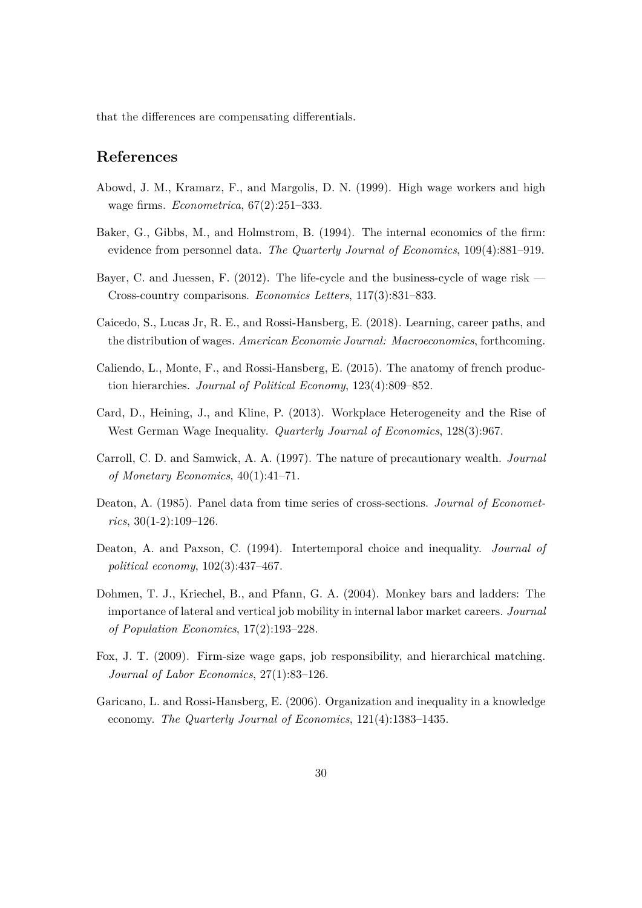that the differences are compensating differentials.

## **References**

- <span id="page-30-4"></span>Abowd, J. M., Kramarz, F., and Margolis, D. N. (1999). High wage workers and high wage firms. *Econometrica*, 67(2):251–333.
- <span id="page-30-5"></span>Baker, G., Gibbs, M., and Holmstrom, B. (1994). The internal economics of the firm: evidence from personnel data. *The Quarterly Journal of Economics*, 109(4):881–919.
- <span id="page-30-11"></span>Bayer, C. and Juessen, F. (2012). The life-cycle and the business-cycle of wage risk — Cross-country comparisons. *Economics Letters*, 117(3):831–833.
- <span id="page-30-8"></span>Caicedo, S., Lucas Jr, R. E., and Rossi-Hansberg, E. (2018). Learning, career paths, and the distribution of wages. *American Economic Journal: Macroeconomics*, forthcoming.
- <span id="page-30-9"></span>Caliendo, L., Monte, F., and Rossi-Hansberg, E. (2015). The anatomy of french production hierarchies. *Journal of Political Economy*, 123(4):809–852.
- <span id="page-30-3"></span>Card, D., Heining, J., and Kline, P. (2013). Workplace Heterogeneity and the Rise of West German Wage Inequality. *Quarterly Journal of Economics*, 128(3):967.
- <span id="page-30-2"></span>Carroll, C. D. and Samwick, A. A. (1997). The nature of precautionary wealth. *Journal of Monetary Economics*, 40(1):41–71.
- <span id="page-30-0"></span>Deaton, A. (1985). Panel data from time series of cross-sections. *Journal of Econometrics*, 30(1-2):109–126.
- <span id="page-30-1"></span>Deaton, A. and Paxson, C. (1994). Intertemporal choice and inequality. *Journal of political economy*, 102(3):437–467.
- <span id="page-30-6"></span>Dohmen, T. J., Kriechel, B., and Pfann, G. A. (2004). Monkey bars and ladders: The importance of lateral and vertical job mobility in internal labor market careers. *Journal of Population Economics*, 17(2):193–228.
- <span id="page-30-7"></span>Fox, J. T. (2009). Firm-size wage gaps, job responsibility, and hierarchical matching. *Journal of Labor Economics*, 27(1):83–126.
- <span id="page-30-10"></span>Garicano, L. and Rossi-Hansberg, E. (2006). Organization and inequality in a knowledge economy. *The Quarterly Journal of Economics*, 121(4):1383–1435.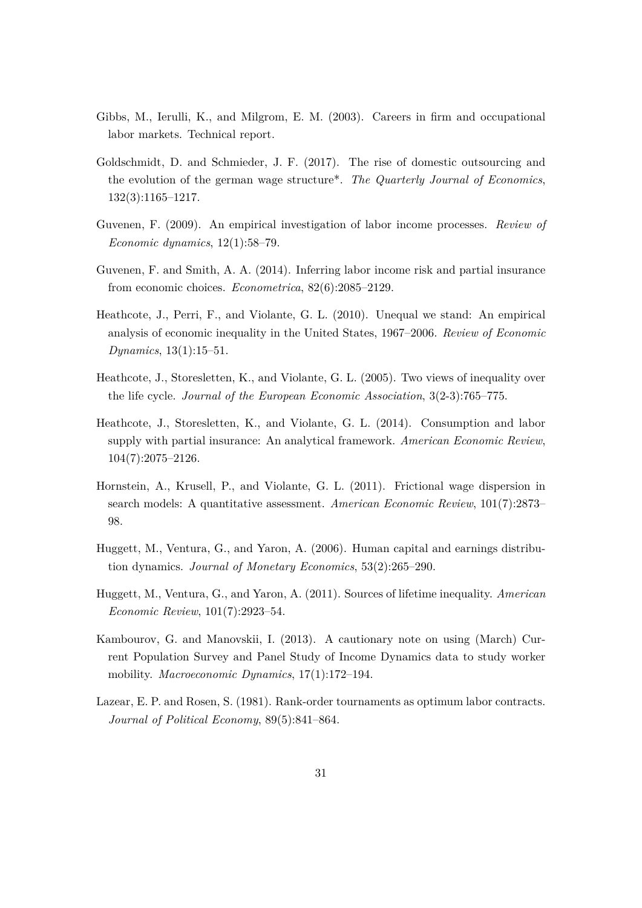- <span id="page-31-7"></span>Gibbs, M., Ierulli, K., and Milgrom, E. M. (2003). Careers in firm and occupational labor markets. Technical report.
- <span id="page-31-6"></span>Goldschmidt, D. and Schmieder, J. F. (2017). The rise of domestic outsourcing and the evolution of the german wage structure\*. *The Quarterly Journal of Economics*, 132(3):1165–1217.
- <span id="page-31-2"></span>Guvenen, F. (2009). An empirical investigation of labor income processes. *Review of Economic dynamics*, 12(1):58–79.
- <span id="page-31-4"></span>Guvenen, F. and Smith, A. A. (2014). Inferring labor income risk and partial insurance from economic choices. *Econometrica*, 82(6):2085–2129.
- <span id="page-31-9"></span>Heathcote, J., Perri, F., and Violante, G. L. (2010). Unequal we stand: An empirical analysis of economic inequality in the United States, 1967–2006. *Review of Economic Dynamics*, 13(1):15–51.
- <span id="page-31-0"></span>Heathcote, J., Storesletten, K., and Violante, G. L. (2005). Two views of inequality over the life cycle. *Journal of the European Economic Association*, 3(2-3):765–775.
- <span id="page-31-10"></span>Heathcote, J., Storesletten, K., and Violante, G. L. (2014). Consumption and labor supply with partial insurance: An analytical framework. *American Economic Review*, 104(7):2075–2126.
- <span id="page-31-5"></span>Hornstein, A., Krusell, P., and Violante, G. L. (2011). Frictional wage dispersion in search models: A quantitative assessment. *American Economic Review*, 101(7):2873– 98.
- <span id="page-31-1"></span>Huggett, M., Ventura, G., and Yaron, A. (2006). Human capital and earnings distribution dynamics. *Journal of Monetary Economics*, 53(2):265–290.
- <span id="page-31-3"></span>Huggett, M., Ventura, G., and Yaron, A. (2011). Sources of lifetime inequality. *American Economic Review*, 101(7):2923–54.
- <span id="page-31-11"></span>Kambourov, G. and Manovskii, I. (2013). A cautionary note on using (March) Current Population Survey and Panel Study of Income Dynamics data to study worker mobility. *Macroeconomic Dynamics*, 17(1):172–194.
- <span id="page-31-8"></span>Lazear, E. P. and Rosen, S. (1981). Rank-order tournaments as optimum labor contracts. *Journal of Political Economy*, 89(5):841–864.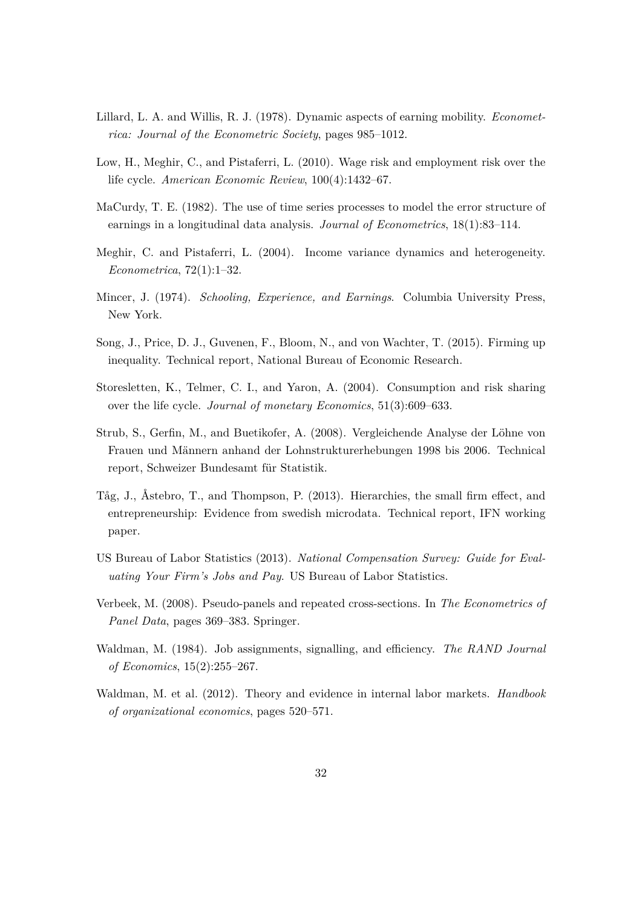- <span id="page-32-5"></span>Lillard, L. A. and Willis, R. J. (1978). Dynamic aspects of earning mobility. *Econometrica: Journal of the Econometric Society*, pages 985–1012.
- <span id="page-32-8"></span>Low, H., Meghir, C., and Pistaferri, L. (2010). Wage risk and employment risk over the life cycle. *American Economic Review*, 100(4):1432–67.
- <span id="page-32-6"></span>MaCurdy, T. E. (1982). The use of time series processes to model the error structure of earnings in a longitudinal data analysis. *Journal of Econometrics*, 18(1):83–114.
- <span id="page-32-7"></span>Meghir, C. and Pistaferri, L. (2004). Income variance dynamics and heterogeneity. *Econometrica*, 72(1):1–32.
- <span id="page-32-3"></span>Mincer, J. (1974). *Schooling, Experience, and Earnings*. Columbia University Press, New York.
- <span id="page-32-2"></span>Song, J., Price, D. J., Guvenen, F., Bloom, N., and von Wachter, T. (2015). Firming up inequality. Technical report, National Bureau of Economic Research.
- <span id="page-32-4"></span>Storesletten, K., Telmer, C. I., and Yaron, A. (2004). Consumption and risk sharing over the life cycle. *Journal of monetary Economics*, 51(3):609–633.
- <span id="page-32-1"></span>Strub, S., Gerfin, M., and Buetikofer, A. (2008). Vergleichende Analyse der Löhne von Frauen und Männern anhand der Lohnstrukturerhebungen 1998 bis 2006. Technical report, Schweizer Bundesamt für Statistik.
- <span id="page-32-11"></span>Tåg, J., Åstebro, T., and Thompson, P. (2013). Hierarchies, the small firm effect, and entrepreneurship: Evidence from swedish microdata. Technical report, IFN working paper.
- <span id="page-32-12"></span>US Bureau of Labor Statistics (2013). *National Compensation Survey: Guide for Evaluating Your Firm's Jobs and Pay*. US Bureau of Labor Statistics.
- <span id="page-32-0"></span>Verbeek, M. (2008). Pseudo-panels and repeated cross-sections. In *The Econometrics of Panel Data*, pages 369–383. Springer.
- <span id="page-32-10"></span>Waldman, M. (1984). Job assignments, signalling, and efficiency. *The RAND Journal of Economics*, 15(2):255–267.
- <span id="page-32-9"></span>Waldman, M. et al. (2012). Theory and evidence in internal labor markets. *Handbook of organizational economics*, pages 520–571.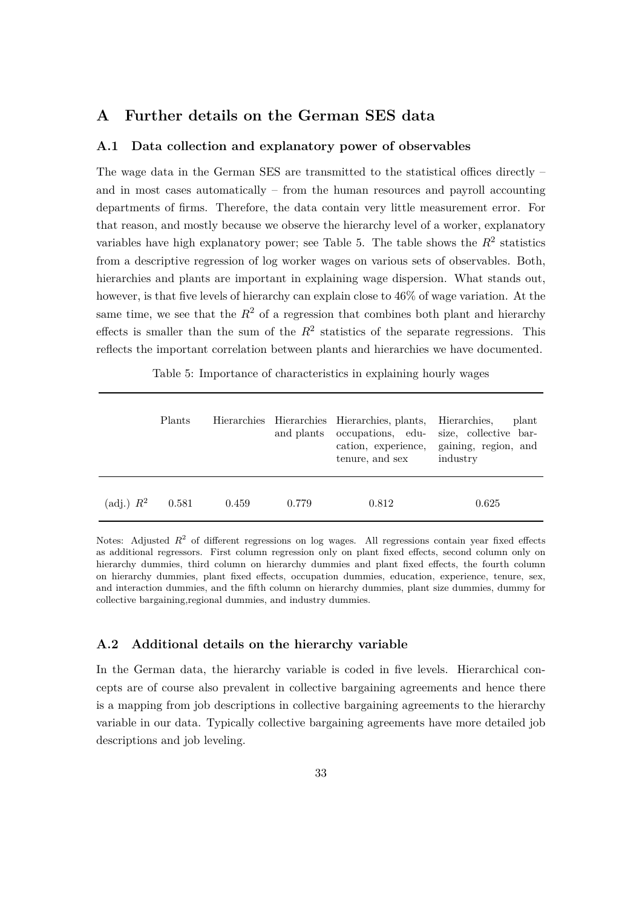### <span id="page-33-0"></span>**A Further details on the German SES data**

#### **A.1 Data collection and explanatory power of observables**

The wage data in the German SES are transmitted to the statistical offices directly – and in most cases automatically – from the human resources and payroll accounting departments of firms. Therefore, the data contain very little measurement error. For that reason, and mostly because we observe the hierarchy level of a worker, explanatory variables have high explanatory power; see Table [5.](#page-33-1) The table shows the  $R^2$  statistics from a descriptive regression of log worker wages on various sets of observables. Both, hierarchies and plants are important in explaining wage dispersion. What stands out, however, is that five levels of hierarchy can explain close to  $46\%$  of wage variation. At the same time, we see that the  $R^2$  of a regression that combines both plant and hierarchy effects is smaller than the sum of the  $R^2$  statistics of the separate regressions. This reflects the important correlation between plants and hierarchies we have documented.

Table 5: Importance of characteristics in explaining hourly wages

<span id="page-33-1"></span>

|                     | Plants |       |       | Hierarchies Hierarchies Hierarchies, plants, Hierarchies,<br>tenure, and sex | plant<br>and plants occupations, edu- size, collective bar-<br>cation, experience, gaining, region, and<br>industry |
|---------------------|--------|-------|-------|------------------------------------------------------------------------------|---------------------------------------------------------------------------------------------------------------------|
| $(\text{adj.}) R^2$ | 0.581  | 0.459 | 0.779 | 0.812                                                                        | 0.625                                                                                                               |

Notes: Adjusted  $R^2$  of different regressions on log wages. All regressions contain year fixed effects as additional regressors. First column regression only on plant fixed effects, second column only on hierarchy dummies, third column on hierarchy dummies and plant fixed effects, the fourth column on hierarchy dummies, plant fixed effects, occupation dummies, education, experience, tenure, sex, and interaction dummies, and the fifth column on hierarchy dummies, plant size dummies, dummy for collective bargaining,regional dummies, and industry dummies.

#### <span id="page-33-2"></span>**A.2 Additional details on the hierarchy variable**

In the German data, the hierarchy variable is coded in five levels. Hierarchical concepts are of course also prevalent in collective bargaining agreements and hence there is a mapping from job descriptions in collective bargaining agreements to the hierarchy variable in our data. Typically collective bargaining agreements have more detailed job descriptions and job leveling.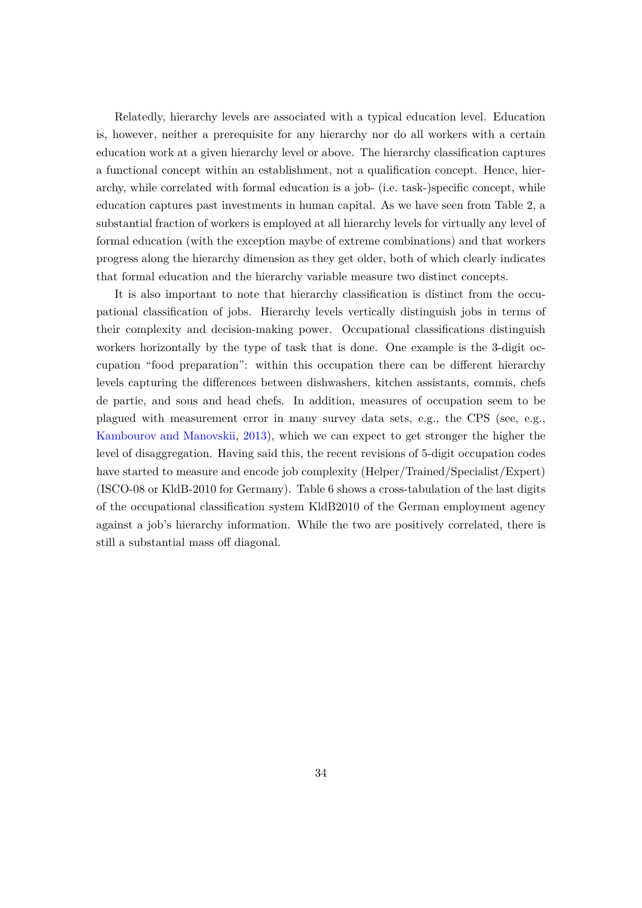Relatedly, hierarchy levels are associated with a typical education level. Education is, however, neither a prerequisite for any hierarchy nor do all workers with a certain education work at a given hierarchy level or above. The hierarchy classification captures a functional concept within an establishment, not a qualification concept. Hence, hierarchy, while correlated with formal education is a job- (i.e. task-)specific concept, while education captures past investments in human capital. As we have seen from Table [2](#page-21-0), a substantial fraction of workers is employed at all hierarchy levels for virtually any level of formal education (with the exception maybe of extreme combinations) and that workers progress along the hierarchy dimension as they get older, both of which clearly indicates that formal education and the hierarchy variable measure two distinct concepts.

It is also important to note that hierarchy classification is distinct from the occupational classification of jobs. Hierarchy levels vertically distinguish jobs in terms of their complexity and decision-making power. Occupational classifications distinguish workers horizontally by the type of task that is done. One example is the 3-digit occupation "food preparation": within this occupation there can be different hierarchy levels capturing the differences between dishwashers, kitchen assistants, commis, chefs de partie, and sous and head chefs. In addition, measures of occupation seem to be plagued with measurement error in many survey data sets, e.g., the CPS (see, e.g., [Kambourov and Manovskii](#page-31-11), [2013](#page-31-11)), which we can expect to get stronger the higher the level of disaggregation. Having said this, the recent revisions of 5-digit occupation codes have started to measure and encode job complexity (Helper/Trained/Specialist/Expert) (ISCO-08 or KldB-2010 for Germany). Table [6](#page-35-1) shows a cross-tabulation of the last digits of the occupational classification system KldB2010 of the German employment agency against a job's hierarchy information. While the two are positively correlated, there is still a substantial mass off diagonal.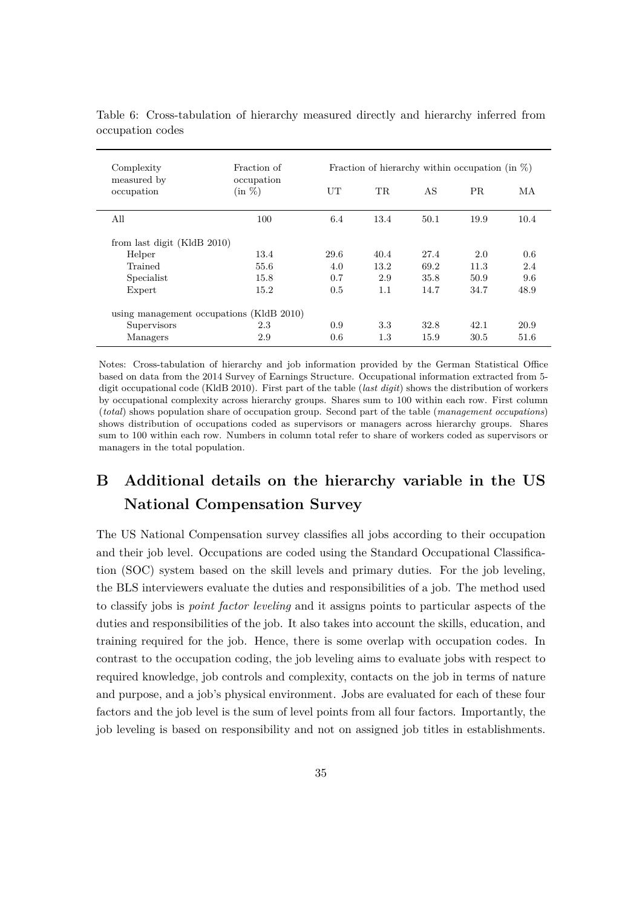| Complexity                               | Fraction of             |      | Fraction of hierarchy within occupation (in $\%$ ) |      |      |      |  |  |  |
|------------------------------------------|-------------------------|------|----------------------------------------------------|------|------|------|--|--|--|
| measured by<br>occupation                | occupation<br>$(in \%)$ | UT   | TR.                                                | AS   | PR.  | МA   |  |  |  |
| All                                      | 100                     | 6.4  | 13.4                                               | 50.1 | 19.9 | 10.4 |  |  |  |
| from last digit (KldB 2010)              |                         |      |                                                    |      |      |      |  |  |  |
| Helper                                   | 13.4                    | 29.6 | 40.4                                               | 27.4 | 2.0  | 0.6  |  |  |  |
| Trained                                  | 55.6                    | 4.0  | 13.2                                               | 69.2 | 11.3 | 2.4  |  |  |  |
| Specialist                               | 15.8                    | 0.7  | 2.9                                                | 35.8 | 50.9 | 9.6  |  |  |  |
| Expert                                   | 15.2                    | 0.5  | 1.1                                                | 14.7 | 34.7 | 48.9 |  |  |  |
| using management occupations (KldB 2010) |                         |      |                                                    |      |      |      |  |  |  |
| Supervisors                              | 2.3                     | 0.9  | 3.3                                                | 32.8 | 42.1 | 20.9 |  |  |  |
| Managers                                 | 2.9                     | 0.6  | 1.3                                                | 15.9 | 30.5 | 51.6 |  |  |  |

<span id="page-35-1"></span>Table 6: Cross-tabulation of hierarchy measured directly and hierarchy inferred from occupation codes

Notes: Cross-tabulation of hierarchy and job information provided by the German Statistical Office based on data from the 2014 Survey of Earnings Structure. Occupational information extracted from 5 digit occupational code (KldB 2010). First part of the table (*last digit*) shows the distribution of workers by occupational complexity across hierarchy groups. Shares sum to 100 within each row. First column (*total*) shows population share of occupation group. Second part of the table (*management occupations*) shows distribution of occupations coded as supervisors or managers across hierarchy groups. Shares sum to 100 within each row. Numbers in column total refer to share of workers coded as supervisors or managers in the total population.

## <span id="page-35-0"></span>**B Additional details on the hierarchy variable in the US National Compensation Survey**

The US National Compensation survey classifies all jobs according to their occupation and their job level. Occupations are coded using the Standard Occupational Classification (SOC) system based on the skill levels and primary duties. For the job leveling, the BLS interviewers evaluate the duties and responsibilities of a job. The method used to classify jobs is *point factor leveling* and it assigns points to particular aspects of the duties and responsibilities of the job. It also takes into account the skills, education, and training required for the job. Hence, there is some overlap with occupation codes. In contrast to the occupation coding, the job leveling aims to evaluate jobs with respect to required knowledge, job controls and complexity, contacts on the job in terms of nature and purpose, and a job's physical environment. Jobs are evaluated for each of these four factors and the job level is the sum of level points from all four factors. Importantly, the job leveling is based on responsibility and not on assigned job titles in establishments.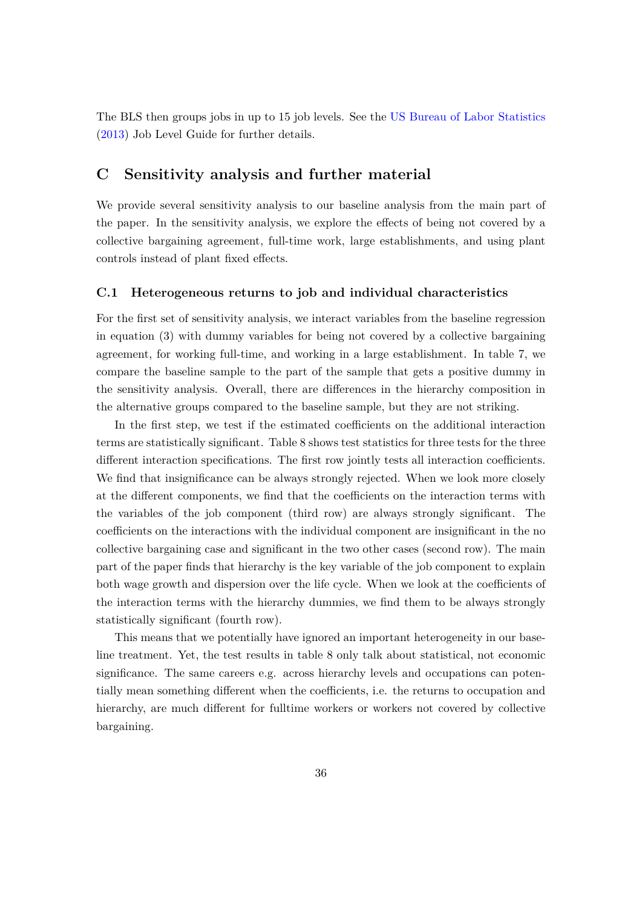The BLS then groups jobs in up to 15 job levels. See the [US Bureau of Labor Statistics](#page-32-12) ([2013](#page-32-12)) Job Level Guide for further details.

## **C Sensitivity analysis and further material**

We provide several sensitivity analysis to our baseline analysis from the main part of the paper. In the sensitivity analysis, we explore the effects of being not covered by a collective bargaining agreement, full-time work, large establishments, and using plant controls instead of plant fixed effects.

#### <span id="page-36-0"></span>**C.1 Heterogeneous returns to job and individual characteristics**

For the first set of sensitivity analysis, we interact variables from the baseline regression in equation ([3](#page-12-4)) with dummy variables for being not covered by a collective bargaining agreement, for working full-time, and working in a large establishment. In table [7](#page-37-0), we compare the baseline sample to the part of the sample that gets a positive dummy in the sensitivity analysis. Overall, there are differences in the hierarchy composition in the alternative groups compared to the baseline sample, but they are not striking.

In the first step, we test if the estimated coefficients on the additional interaction terms are statistically significant. Table [8](#page-38-0) shows test statistics for three tests for the three different interaction specifications. The first row jointly tests all interaction coefficients. We find that insignificance can be always strongly rejected. When we look more closely at the different components, we find that the coefficients on the interaction terms with the variables of the job component (third row) are always strongly significant. The coefficients on the interactions with the individual component are insignificant in the no collective bargaining case and significant in the two other cases (second row). The main part of the paper finds that hierarchy is the key variable of the job component to explain both wage growth and dispersion over the life cycle. When we look at the coefficients of the interaction terms with the hierarchy dummies, we find them to be always strongly statistically significant (fourth row).

This means that we potentially have ignored an important heterogeneity in our baseline treatment. Yet, the test results in table [8](#page-38-0) only talk about statistical, not economic significance. The same careers e.g. across hierarchy levels and occupations can potentially mean something different when the coefficients, i.e. the returns to occupation and hierarchy, are much different for fulltime workers or workers not covered by collective bargaining.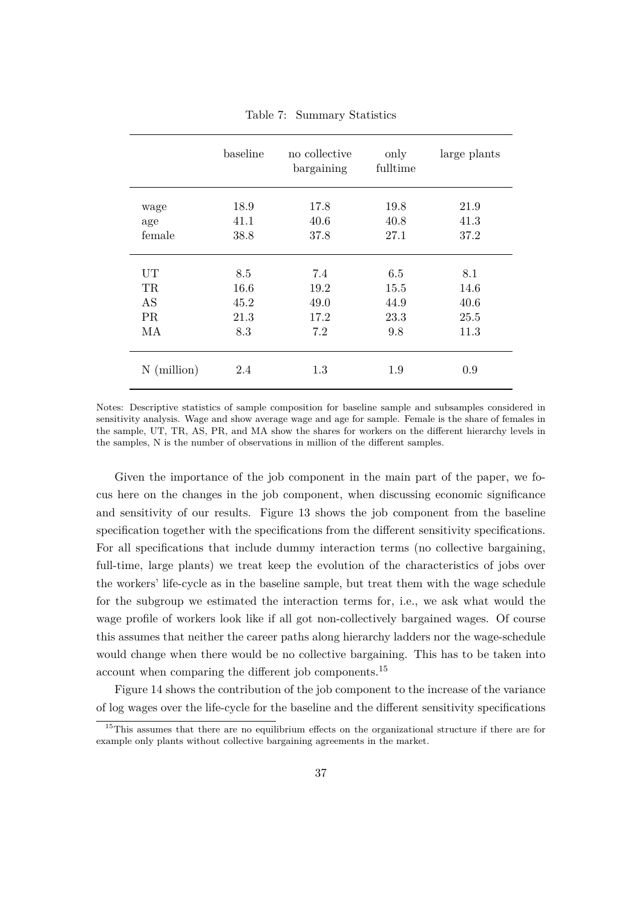<span id="page-37-0"></span>

|               | baseline | no collective<br>bargaining | only<br>fulltime | large plants |
|---------------|----------|-----------------------------|------------------|--------------|
| wage          | 18.9     | 17.8                        | 19.8             | 21.9         |
| age           | 41.1     | 40.6                        | 40.8             | 41.3         |
| female        | 38.8     | 37.8                        | 27.1             | 37.2         |
| UT            | 8.5      | 7.4                         | 6.5              | 8.1          |
| <b>TR</b>     | 16.6     | 19.2                        | 15.5             | 14.6         |
| AS            | 45.2     | 49.0                        | 44.9             | 40.6         |
| <b>PR</b>     | 21.3     | 17.2                        | 23.3             | 25.5         |
| МA            | 8.3      | 7.2                         | 9.8              | 11.3         |
| $N$ (million) | 2.4      | 1.3                         | 1.9              | 0.9          |

Table 7: Summary Statistics

Notes: Descriptive statistics of sample composition for baseline sample and subsamples considered in sensitivity analysis. Wage and show average wage and age for sample. Female is the share of females in the sample, UT, TR, AS, PR, and MA show the shares for workers on the different hierarchy levels in the samples, N is the number of observations in million of the different samples.

Given the importance of the job component in the main part of the paper, we focus here on the changes in the job component, when discussing economic significance and sensitivity of our results. Figure [13](#page-39-0) shows the job component from the baseline specification together with the specifications from the different sensitivity specifications. For all specifications that include dummy interaction terms (no collective bargaining, full-time, large plants) we treat keep the evolution of the characteristics of jobs over the workers' life-cycle as in the baseline sample, but treat them with the wage schedule for the subgroup we estimated the interaction terms for, i.e., we ask what would the wage profile of workers look like if all got non-collectively bargained wages. Of course this assumes that neither the career paths along hierarchy ladders nor the wage-schedule would change when there would be no collective bargaining. This has to be taken into account when comparing the different job components.[15](#page-37-1)

Figure [14](#page-39-1) shows the contribution of the job component to the increase of the variance of log wages over the life-cycle for the baseline and the different sensitivity specifications

<span id="page-37-1"></span><sup>&</sup>lt;sup>15</sup>This assumes that there are no equilibrium effects on the organizational structure if there are for example only plants without collective bargaining agreements in the market.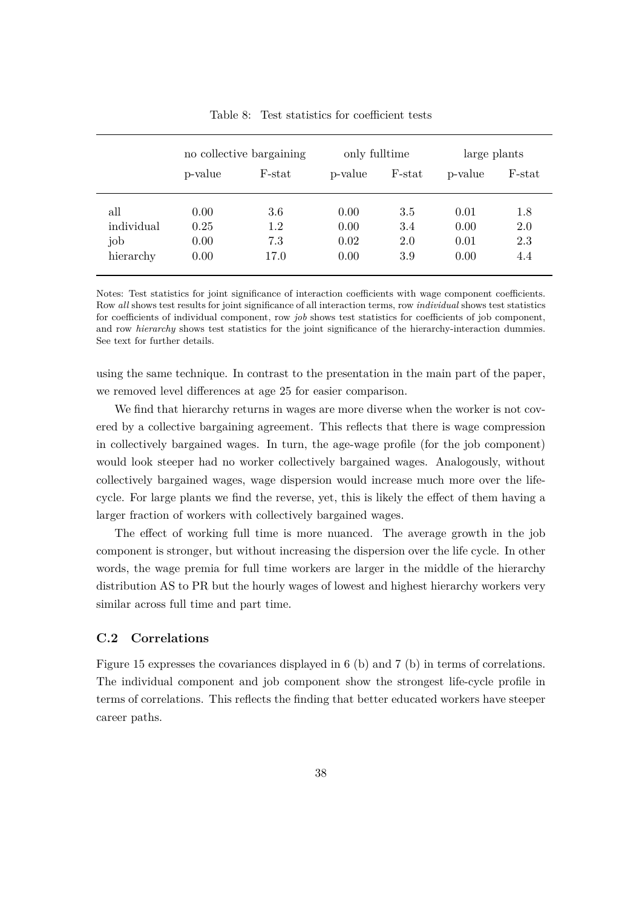<span id="page-38-0"></span>

|            | no collective bargaining |        | only fulltime |        | large plants |        |  |
|------------|--------------------------|--------|---------------|--------|--------------|--------|--|
|            | p-value                  | F-stat | p-value       | F-stat | p-value      | F-stat |  |
| all        | 0.00                     | 3.6    | 0.00          | 3.5    | 0.01         | 1.8    |  |
| individual | 0.25                     | 1.2    | 0.00          | 3.4    | 0.00         | 2.0    |  |
| job        | 0.00                     | 7.3    | 0.02          | 2.0    | 0.01         | 2.3    |  |
| hierarchy  | 0.00                     | 17.0   | 0.00          | 3.9    | 0.00         | 4.4    |  |

Table 8: Test statistics for coefficient tests

Notes: Test statistics for joint significance of interaction coefficients with wage component coefficients. Row *all* shows test results for joint significance of all interaction terms, row *individual* shows test statistics for coefficients of individual component, row *job* shows test statistics for coefficients of job component, and row *hierarchy* shows test statistics for the joint significance of the hierarchy-interaction dummies. See text for further details.

using the same technique. In contrast to the presentation in the main part of the paper, we removed level differences at age 25 for easier comparison.

We find that hierarchy returns in wages are more diverse when the worker is not covered by a collective bargaining agreement. This reflects that there is wage compression in collectively bargained wages. In turn, the age-wage profile (for the job component) would look steeper had no worker collectively bargained wages. Analogously, without collectively bargained wages, wage dispersion would increase much more over the lifecycle. For large plants we find the reverse, yet, this is likely the effect of them having a larger fraction of workers with collectively bargained wages.

The effect of working full time is more nuanced. The average growth in the job component is stronger, but without increasing the dispersion over the life cycle. In other words, the wage premia for full time workers are larger in the middle of the hierarchy distribution AS to PR but the hourly wages of lowest and highest hierarchy workers very similar across full time and part time.

#### **C.2 Correlations**

Figure [15](#page-40-0) expresses the covariances displayed in [6](#page-18-0) (b) and [7](#page-20-0) (b) in terms of correlations. The individual component and job component show the strongest life-cycle profile in terms of correlations. This reflects the finding that better educated workers have steeper career paths.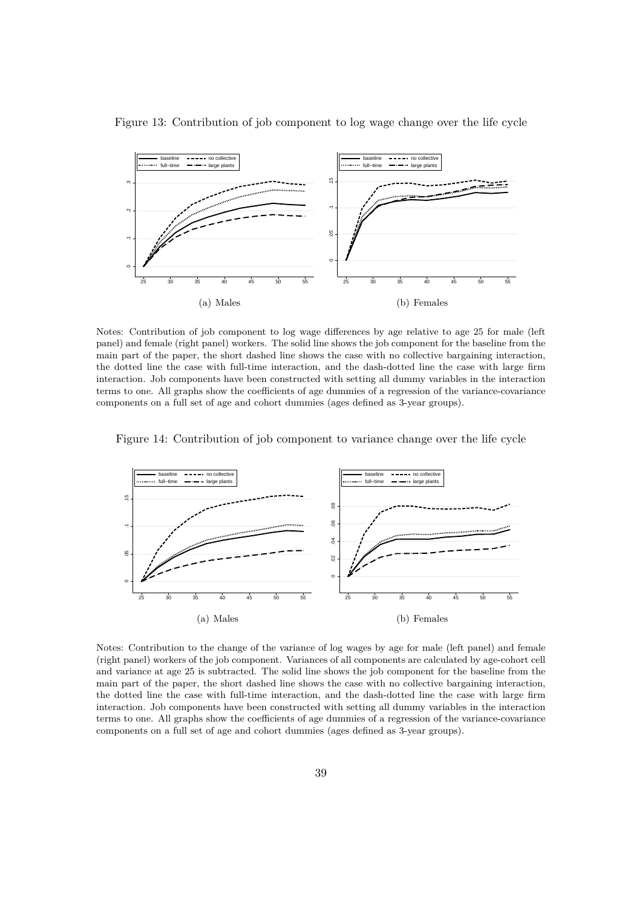

<span id="page-39-0"></span>Figure 13: Contribution of job component to log wage change over the life cycle

Notes: Contribution of job component to log wage differences by age relative to age 25 for male (left panel) and female (right panel) workers. The solid line shows the job component for the baseline from the main part of the paper, the short dashed line shows the case with no collective bargaining interaction, the dotted line the case with full-time interaction, and the dash-dotted line the case with large firm interaction. Job components have been constructed with setting all dummy variables in the interaction terms to one. All graphs show the coefficients of age dummies of a regression of the variance-covariance components on a full set of age and cohort dummies (ages defined as 3-year groups).



<span id="page-39-1"></span>Figure 14: Contribution of job component to variance change over the life cycle

Notes: Contribution to the change of the variance of log wages by age for male (left panel) and female (right panel) workers of the job component. Variances of all components are calculated by age-cohort cell and variance at age 25 is subtracted. The solid line shows the job component for the baseline from the main part of the paper, the short dashed line shows the case with no collective bargaining interaction, the dotted line the case with full-time interaction, and the dash-dotted line the case with large firm interaction. Job components have been constructed with setting all dummy variables in the interaction terms to one. All graphs show the coefficients of age dummies of a regression of the variance-covariance components on a full set of age and cohort dummies (ages defined as 3-year groups).